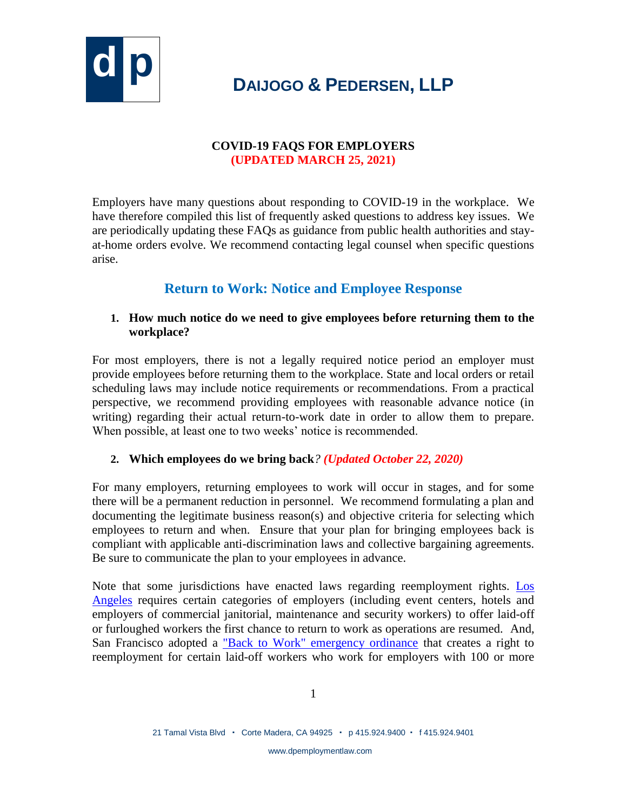

### **COVID-19 FAQS FOR EMPLOYERS (UPDATED MARCH 25, 2021)**

Employers have many questions about responding to COVID-19 in the workplace. We have therefore compiled this list of frequently asked questions to address key issues. We are periodically updating these FAQs as guidance from public health authorities and stayat-home orders evolve. We recommend contacting legal counsel when specific questions arise.

### **Return to Work: Notice and Employee Response**

### **1. How much notice do we need to give employees before returning them to the workplace?**

For most employers, there is not a legally required notice period an employer must provide employees before returning them to the workplace. State and local orders or retail scheduling laws may include notice requirements or recommendations. From a practical perspective, we recommend providing employees with reasonable advance notice (in writing) regarding their actual return-to-work date in order to allow them to prepare. When possible, at least one to two weeks' notice is recommended.

### **2. Which employees do we bring back***? (Updated October 22, 2020)*

For many employers, returning employees to work will occur in stages, and for some there will be a permanent reduction in personnel. We recommend formulating a plan and documenting the legitimate business reason(s) and objective criteria for selecting which employees to return and when. Ensure that your plan for bringing employees back is compliant with applicable anti-discrimination laws and collective bargaining agreements. Be sure to communicate the plan to your employees in advance.

Note that some jurisdictions have enacted laws regarding reemployment rights. [Los](https://wagesla.lacity.org/sites/g/files/wph471/f/RORO-20200614.pdf)  [Angeles](https://wagesla.lacity.org/sites/g/files/wph471/f/RORO-20200614.pdf) requires certain categories of employers (including event centers, hotels and employers of commercial janitorial, maintenance and security workers) to offer laid-off or furloughed workers the first chance to return to work as operations are resumed. And, San Francisco adopted a ["Back to Work" emergency ordinance](https://sfgov.legistar.com/View.ashx?M=F&ID=8623458&GUID=92C04AD0-0A0F-4C77-AB15-2D501B02D25D) that creates a right to reemployment for certain laid-off workers who work for employers with 100 or more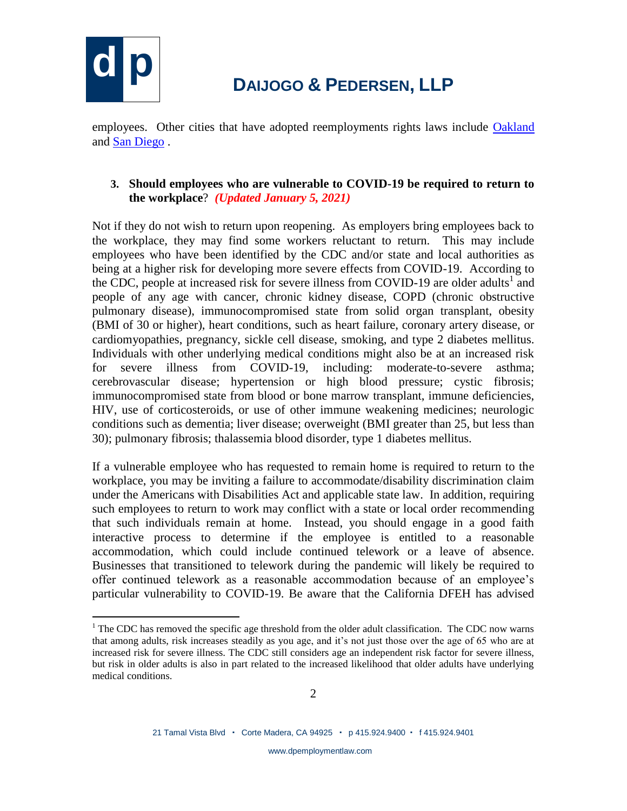

 $\overline{a}$ 

# **d p <sup>D</sup>AIJOGO & <sup>P</sup>EDERSEN, LLP**

employees. Other cities that have adopted reemployments rights laws include [Oakland](https://oakland.legistar.com/LegislationDetail.aspx?ID=4579935&GUID=19C49E87-982D-4B24-A4D0-5EFB633A3A9B) and [San Diego](https://docs.sandiego.gov/municode/MuniCodeChapter03/Ch03Art11Division02.pdf) .

### **3. Should employees who are vulnerable to COVID-19 be required to return to the workplace**? *(Updated January 5, 2021)*

Not if they do not wish to return upon reopening. As employers bring employees back to the workplace, they may find some workers reluctant to return. This may include employees who have been identified by the CDC and/or state and local authorities as being at a higher risk for developing more severe effects from COVID-19. According to the CDC, people at increased risk for severe illness from COVID-19 are older adults<sup>1</sup> and people of any age with cancer, chronic kidney disease, COPD (chronic obstructive pulmonary disease), immunocompromised state from solid organ transplant, obesity (BMI of 30 or higher), heart conditions, such as heart failure, coronary artery disease, or cardiomyopathies, pregnancy, sickle cell disease, smoking, and type 2 diabetes mellitus. Individuals with other underlying medical conditions might also be at an increased risk for severe illness from COVID-19, including: moderate-to-severe asthma; cerebrovascular disease; hypertension or high blood pressure; cystic fibrosis; immunocompromised state from blood or bone marrow transplant, immune deficiencies, HIV, use of corticosteroids, or use of other immune weakening medicines; neurologic conditions such as dementia; liver disease; overweight (BMI greater than 25, but less than 30); pulmonary fibrosis; thalassemia blood disorder, type 1 diabetes mellitus.

If a vulnerable employee who has requested to remain home is required to return to the workplace, you may be inviting a failure to accommodate/disability discrimination claim under the Americans with Disabilities Act and applicable state law. In addition, requiring such employees to return to work may conflict with a state or local order recommending that such individuals remain at home. Instead, you should engage in a good faith interactive process to determine if the employee is entitled to a reasonable accommodation, which could include continued telework or a leave of absence. Businesses that transitioned to telework during the pandemic will likely be required to offer continued telework as a reasonable accommodation because of an employee's particular vulnerability to COVID-19. Be aware that the California DFEH has advised

 $1$  The CDC has removed the specific age threshold from the older adult classification. The CDC now warns that among adults, risk increases steadily as you age, and it's not just those over the age of 65 who are at increased risk for severe illness. The CDC still considers age an independent risk factor for severe illness, but risk in older adults is also in part related to the increased likelihood that older adults have underlying medical conditions.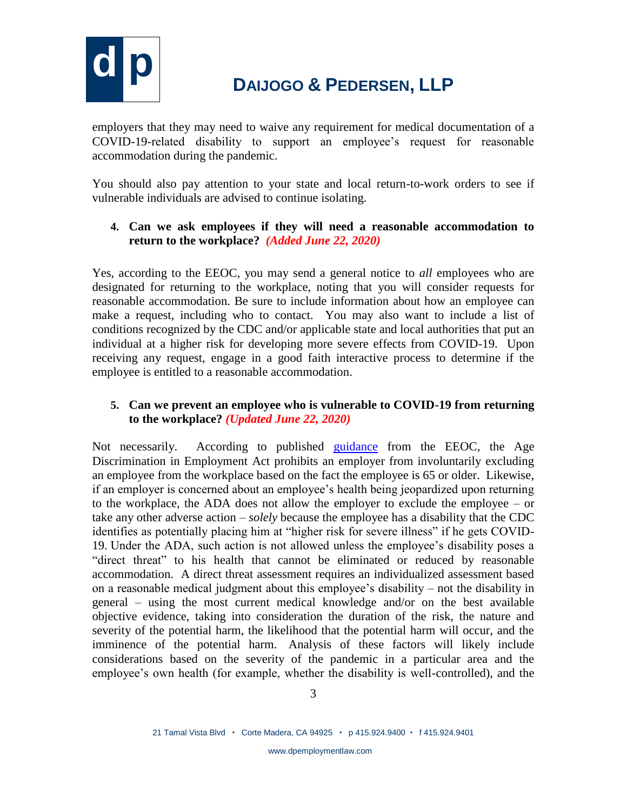

employers that they may need to waive any requirement for medical documentation of a COVID-19-related disability to support an employee's request for reasonable accommodation during the pandemic.

You should also pay attention to your state and local return-to-work orders to see if vulnerable individuals are advised to continue isolating.

### **4. Can we ask employees if they will need a reasonable accommodation to return to the workplace?** *(Added June 22, 2020)*

Yes, according to the EEOC, you may send a general notice to *all* employees who are designated for returning to the workplace, noting that you will consider requests for reasonable accommodation. Be sure to include information about how an employee can make a request, including who to contact. You may also want to include a list of conditions recognized by the CDC and/or applicable state and local authorities that put an individual at a higher risk for developing more severe effects from COVID-19. Upon receiving any request, engage in a good faith interactive process to determine if the employee is entitled to a reasonable accommodation.

### **5. Can we prevent an employee who is vulnerable to COVID-19 from returning to the workplace?** *(Updated June 22, 2020)*

Not necessarily. According to published [guidance](https://www.eeoc.gov/wysk/what-you-should-know-about-covid-19-and-ada-rehabilitation-act-and-other-eeo-laws) from the EEOC, the Age Discrimination in Employment Act prohibits an employer from involuntarily excluding an employee from the workplace based on the fact the employee is 65 or older. Likewise, if an employer is concerned about an employee's health being jeopardized upon returning to the workplace, the ADA does not allow the employer to exclude the employee – or take any other adverse action – *solely* because the employee has a disability that the CDC identifies as potentially placing him at "higher risk for severe illness" if he gets COVID-19. Under the ADA, such action is not allowed unless the employee's disability poses a "direct threat" to his health that cannot be eliminated or reduced by reasonable accommodation. A direct threat assessment requires an individualized assessment based on a reasonable medical judgment about this employee's disability – not the disability in general – using the most current medical knowledge and/or on the best available objective evidence, taking into consideration the duration of the risk, the nature and severity of the potential harm, the likelihood that the potential harm will occur, and the imminence of the potential harm. Analysis of these factors will likely include considerations based on the severity of the pandemic in a particular area and the employee's own health (for example, whether the disability is well-controlled), and the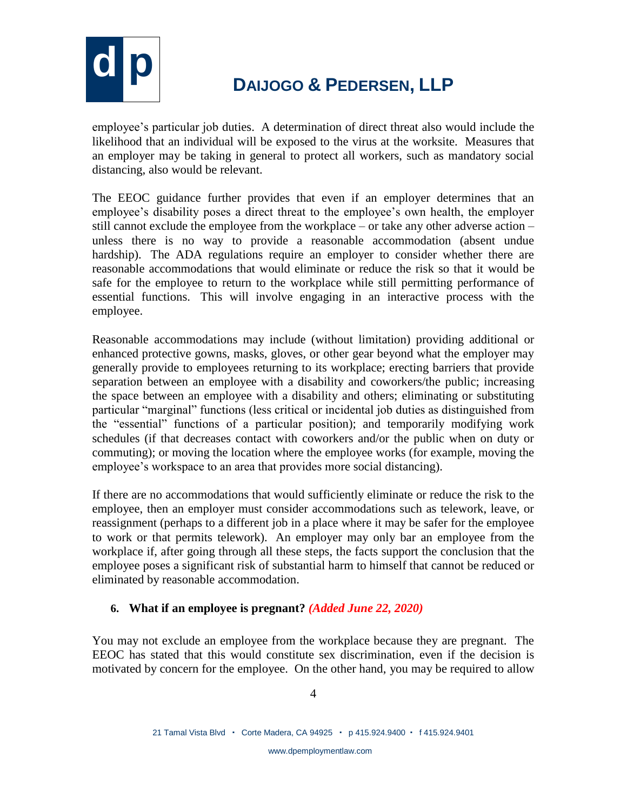

employee's particular job duties. A determination of direct threat also would include the likelihood that an individual will be exposed to the virus at the worksite. Measures that an employer may be taking in general to protect all workers, such as mandatory social distancing, also would be relevant.

The EEOC guidance further provides that even if an employer determines that an employee's disability poses a direct threat to the employee's own health, the employer still cannot exclude the employee from the workplace – or take any other adverse action – unless there is no way to provide a reasonable accommodation (absent undue hardship). The ADA regulations require an employer to consider whether there are reasonable accommodations that would eliminate or reduce the risk so that it would be safe for the employee to return to the workplace while still permitting performance of essential functions. This will involve engaging in an interactive process with the employee.

Reasonable accommodations may include (without limitation) providing additional or enhanced protective gowns, masks, gloves, or other gear beyond what the employer may generally provide to employees returning to its workplace; erecting barriers that provide separation between an employee with a disability and coworkers/the public; increasing the space between an employee with a disability and others; eliminating or substituting particular "marginal" functions (less critical or incidental job duties as distinguished from the "essential" functions of a particular position); and temporarily modifying work schedules (if that decreases contact with coworkers and/or the public when on duty or commuting); or moving the location where the employee works (for example, moving the employee's workspace to an area that provides more social distancing).

If there are no accommodations that would sufficiently eliminate or reduce the risk to the employee, then an employer must consider accommodations such as telework, leave, or reassignment (perhaps to a different job in a place where it may be safer for the employee to work or that permits telework). An employer may only bar an employee from the workplace if, after going through all these steps, the facts support the conclusion that the employee poses a significant risk of substantial harm to himself that cannot be reduced or eliminated by reasonable accommodation.

### **6. What if an employee is pregnant?** *(Added June 22, 2020)*

You may not exclude an employee from the workplace because they are pregnant. The EEOC has stated that this would constitute sex discrimination, even if the decision is motivated by concern for the employee. On the other hand, you may be required to allow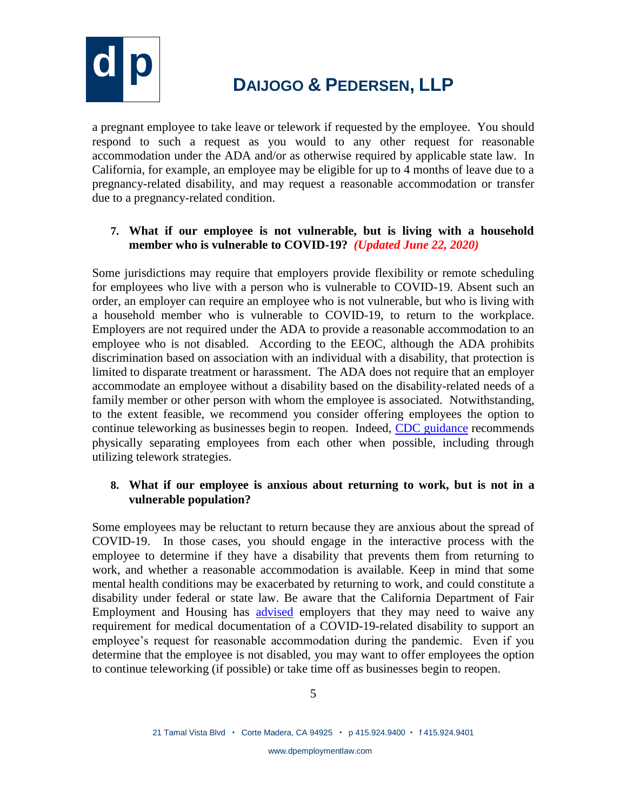

a pregnant employee to take leave or telework if requested by the employee. You should respond to such a request as you would to any other request for reasonable accommodation under the ADA and/or as otherwise required by applicable state law. In California, for example, an employee may be eligible for up to 4 months of leave due to a pregnancy-related disability, and may request a reasonable accommodation or transfer due to a pregnancy-related condition.

### **7. What if our employee is not vulnerable, but is living with a household member who is vulnerable to COVID-19?** *(Updated June 22, 2020)*

Some jurisdictions may require that employers provide flexibility or remote scheduling for employees who live with a person who is vulnerable to COVID-19. Absent such an order, an employer can require an employee who is not vulnerable, but who is living with a household member who is vulnerable to COVID-19, to return to the workplace. Employers are not required under the ADA to provide a reasonable accommodation to an employee who is not disabled. According to the EEOC, although the ADA prohibits discrimination based on association with an individual with a disability, that protection is limited to disparate treatment or harassment. The ADA does not require that an employer accommodate an employee without a disability based on the disability-related needs of a family member or other person with whom the employee is associated. Notwithstanding, to the extent feasible, we recommend you consider offering employees the option to continue teleworking as businesses begin to reopen. Indeed, [CDC guidance](https://www.cdc.gov/coronavirus/2019-ncov/community/guidance-business-response.html) recommends physically separating employees from each other when possible, including through utilizing telework strategies.

### **8. What if our employee is anxious about returning to work, but is not in a vulnerable population?**

Some employees may be reluctant to return because they are anxious about the spread of COVID-19. In those cases, you should engage in the interactive process with the employee to determine if they have a disability that prevents them from returning to work, and whether a reasonable accommodation is available. Keep in mind that some mental health conditions may be exacerbated by returning to work, and could constitute a disability under federal or state law. Be aware that the California Department of Fair Employment and Housing has [advised](https://www.dfeh.ca.gov/wp-content/uploads/sites/32/2020/03/DFEH-Employment-Information-on-COVID-19-FAQ_ENG.pdf) employers that they may need to waive any requirement for medical documentation of a COVID-19-related disability to support an employee's request for reasonable accommodation during the pandemic. Even if you determine that the employee is not disabled, you may want to offer employees the option to continue teleworking (if possible) or take time off as businesses begin to reopen.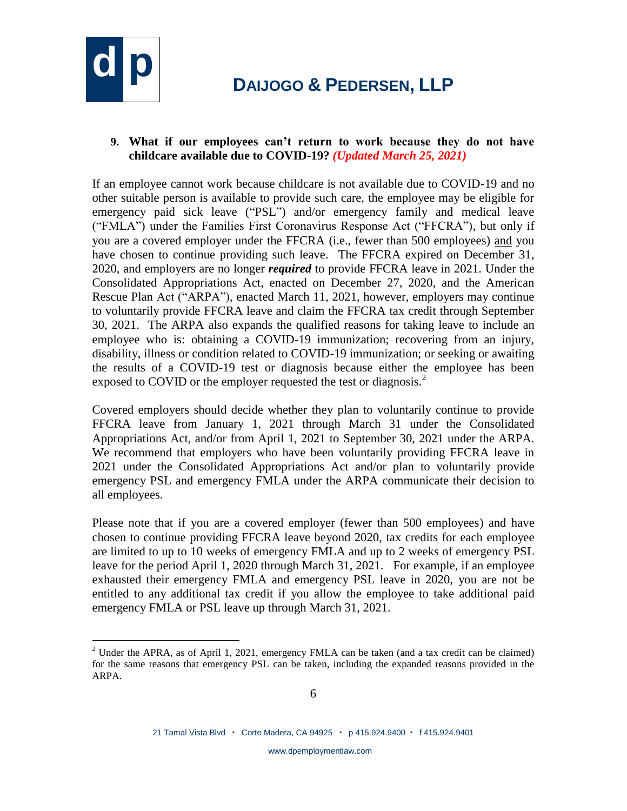

 $\overline{a}$ 

#### **9. What if our employees can't return to work because they do not have childcare available due to COVID-19?** *(Updated March 25, 2021)*

If an employee cannot work because childcare is not available due to COVID-19 and no other suitable person is available to provide such care, the employee may be eligible for emergency paid sick leave ("PSL") and/or emergency family and medical leave ("FMLA") under the Families First Coronavirus Response Act ("FFCRA"), but only if you are a covered employer under the FFCRA (i.e., fewer than 500 employees) and you have chosen to continue providing such leave. The FFCRA expired on December 31, 2020, and employers are no longer *required* to provide FFCRA leave in 2021. Under the Consolidated Appropriations Act, enacted on December 27, 2020, and the American Rescue Plan Act ("ARPA"), enacted March 11, 2021, however, employers may continue to voluntarily provide FFCRA leave and claim the FFCRA tax credit through September 30, 2021. The ARPA also expands the qualified reasons for taking leave to include an employee who is: obtaining a COVID-19 immunization; recovering from an injury, disability, illness or condition related to COVID-19 immunization; or seeking or awaiting the results of a COVID-19 test or diagnosis because either the employee has been exposed to COVID or the employer requested the test or diagnosis.<sup>2</sup>

Covered employers should decide whether they plan to voluntarily continue to provide FFCRA leave from January 1, 2021 through March 31 under the Consolidated Appropriations Act, and/or from April 1, 2021 to September 30, 2021 under the ARPA. We recommend that employers who have been voluntarily providing FFCRA leave in 2021 under the Consolidated Appropriations Act and/or plan to voluntarily provide emergency PSL and emergency FMLA under the ARPA communicate their decision to all employees.

Please note that if you are a covered employer (fewer than 500 employees) and have chosen to continue providing FFCRA leave beyond 2020, tax credits for each employee are limited to up to 10 weeks of emergency FMLA and up to 2 weeks of emergency PSL leave for the period April 1, 2020 through March 31, 2021. For example, if an employee exhausted their emergency FMLA and emergency PSL leave in 2020, you are not be entitled to any additional tax credit if you allow the employee to take additional paid emergency FMLA or PSL leave up through March 31, 2021.

<sup>&</sup>lt;sup>2</sup> Under the APRA, as of April 1, 2021, emergency FMLA can be taken (and a tax credit can be claimed) for the same reasons that emergency PSL can be taken, including the expanded reasons provided in the ARPA.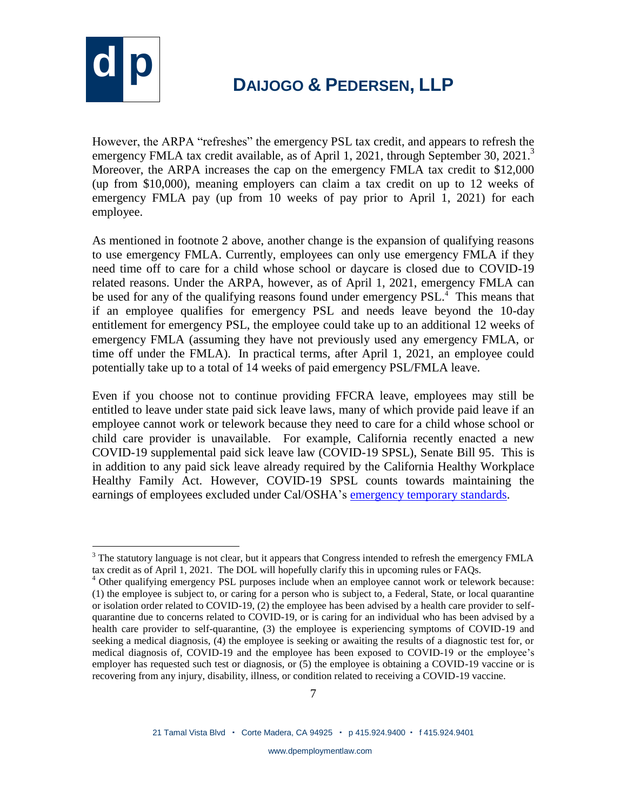

 $\overline{a}$ 

## **d p <sup>D</sup>AIJOGO & <sup>P</sup>EDERSEN, LLP**

However, the ARPA "refreshes" the emergency PSL tax credit, and appears to refresh the emergency FMLA tax credit available, as of April 1, 2021, through September 30, 2021.<sup>3</sup> Moreover, the ARPA increases the cap on the emergency FMLA tax credit to \$12,000 (up from \$10,000), meaning employers can claim a tax credit on up to 12 weeks of emergency FMLA pay (up from 10 weeks of pay prior to April 1, 2021) for each employee.

As mentioned in footnote 2 above, another change is the expansion of qualifying reasons to use emergency FMLA. Currently, employees can only use emergency FMLA if they need time off to care for a child whose school or daycare is closed due to COVID-19 related reasons. Under the ARPA, however, as of April 1, 2021, emergency FMLA can be used for any of the qualifying reasons found under emergency PSL.<sup>4</sup> This means that if an employee qualifies for emergency PSL and needs leave beyond the 10-day entitlement for emergency PSL, the employee could take up to an additional 12 weeks of emergency FMLA (assuming they have not previously used any emergency FMLA, or time off under the FMLA). In practical terms, after April 1, 2021, an employee could potentially take up to a total of 14 weeks of paid emergency PSL/FMLA leave.

Even if you choose not to continue providing FFCRA leave, employees may still be entitled to leave under state paid sick leave laws, many of which provide paid leave if an employee cannot work or telework because they need to care for a child whose school or child care provider is unavailable. For example, California recently enacted a new COVID-19 supplemental paid sick leave law (COVID-19 SPSL), Senate Bill 95. This is in addition to any paid sick leave already required by the California Healthy Workplace Healthy Family Act. However, COVID-19 SPSL counts towards maintaining the earnings of employees excluded under Cal/OSHA's [emergency temporary standards.](https://www.dir.ca.gov/dosh/coronavirus/ETS.html)

 $3$  The statutory language is not clear, but it appears that Congress intended to refresh the emergency FMLA tax credit as of April 1, 2021. The DOL will hopefully clarify this in upcoming rules or FAQs.

 $4$  Other qualifying emergency PSL purposes include when an employee cannot work or telework because: (1) the employee is subject to, or caring for a person who is subject to, a Federal, State, or local quarantine or isolation order related to COVID-19, (2) the employee has been advised by a health care provider to selfquarantine due to concerns related to COVID-19, or is caring for an individual who has been advised by a health care provider to self-quarantine, (3) the employee is experiencing symptoms of COVID-19 and seeking a medical diagnosis, (4) the employee is seeking or awaiting the results of a diagnostic test for, or medical diagnosis of, COVID-19 and the employee has been exposed to COVID-19 or the employee's employer has requested such test or diagnosis, or (5) the employee is obtaining a COVID-19 vaccine or is recovering from any injury, disability, illness, or condition related to receiving a COVID-19 vaccine.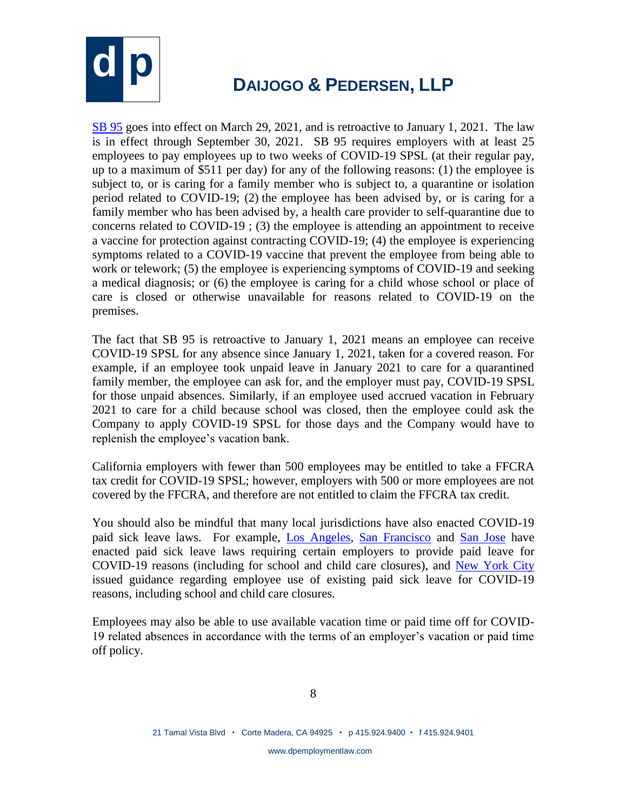

[SB 95](https://leginfo.legislature.ca.gov/faces/billTextClient.xhtml?bill_id=202120220SB95) goes into effect on March 29, 2021, and is retroactive to January 1, 2021. The law is in effect through September 30, 2021. SB 95 requires employers with at least 25 employees to pay employees up to two weeks of COVID-19 SPSL (at their regular pay, up to a maximum of \$511 per day) for any of the following reasons: (1) the employee is subject to, or is caring for a family member who is subject to, a quarantine or isolation period related to COVID-19; (2) the employee has been advised by, or is caring for a family member who has been advised by, a health care provider to self-quarantine due to concerns related to COVID-19 ; (3) the employee is attending an appointment to receive a vaccine for protection against contracting COVID-19; (4) the employee is experiencing symptoms related to a COVID-19 vaccine that prevent the employee from being able to work or telework; (5) the employee is experiencing symptoms of COVID-19 and seeking a medical diagnosis; or (6) the employee is caring for a child whose school or place of care is closed or otherwise unavailable for reasons related to COVID-19 on the premises.

The fact that SB 95 is retroactive to January 1, 2021 means an employee can receive COVID-19 SPSL for any absence since January 1, 2021, taken for a covered reason. For example, if an employee took unpaid leave in January 2021 to care for a quarantined family member, the employee can ask for, and the employer must pay, COVID-19 SPSL for those unpaid absences. Similarly, if an employee used accrued vacation in February 2021 to care for a child because school was closed, then the employee could ask the Company to apply COVID-19 SPSL for those days and the Company would have to replenish the employee's vacation bank.

California employers with fewer than 500 employees may be entitled to take a FFCRA tax credit for COVID-19 SPSL; however, employers with 500 or more employees are not covered by the FFCRA, and therefore are not entitled to claim the FFCRA tax credit.

You should also be mindful that many local jurisdictions have also enacted COVID-19 paid sick leave laws. For example, [Los Angeles,](https://www.lamayor.org/sites/g/files/wph446/f/page/file/20210210%20Mayor%20Public%20Order%20re%20COVID-19%20SUPPLEMENTAL%20PAID%20SICK%20LEAVE%20Updated_0.pdf) [San Francisco](https://sfgov.org/olse/sites/default/files/Leg%20Ver2.pdf) and [San Jose](https://www.sanjoseca.gov/home/showpublisheddocument?id=68359) have enacted paid sick leave laws requiring certain employers to provide paid leave for COVID-19 reasons (including for school and child care closures), and [New York City](https://www1.nyc.gov/assets/dca/downloads/pdf/workers/Complying-with-NYC-Workplace-Laws-During-COVID-19.pdf) issued guidance regarding employee use of existing paid sick leave for COVID-19 reasons, including school and child care closures.

Employees may also be able to use available vacation time or paid time off for COVID-19 related absences in accordance with the terms of an employer's vacation or paid time off policy.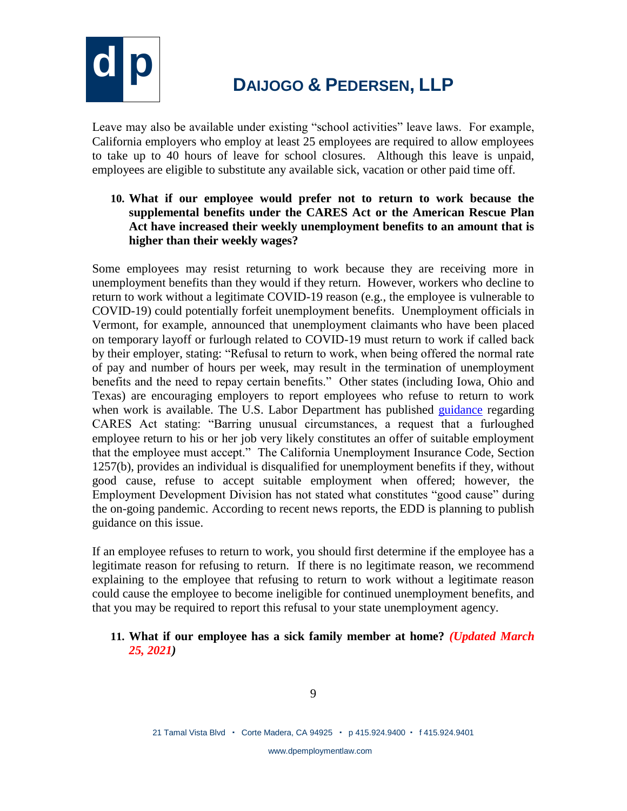

Leave may also be available under existing "school activities" leave laws. For example, California employers who employ at least 25 employees are required to allow employees to take up to 40 hours of leave for school closures. Although this leave is unpaid, employees are eligible to substitute any available sick, vacation or other paid time off.

**10. What if our employee would prefer not to return to work because the supplemental benefits under the CARES Act or the American Rescue Plan Act have increased their weekly unemployment benefits to an amount that is higher than their weekly wages?** 

Some employees may resist returning to work because they are receiving more in unemployment benefits than they would if they return. However, workers who decline to return to work without a legitimate COVID-19 reason (e.g., the employee is vulnerable to COVID-19) could potentially forfeit unemployment benefits. Unemployment officials in Vermont, for example, announced that unemployment claimants who have been placed on temporary layoff or furlough related to COVID-19 must return to work if called back by their employer, stating: "Refusal to return to work, when being offered the normal rate of pay and number of hours per week, may result in the termination of unemployment benefits and the need to repay certain benefits." Other states (including Iowa, Ohio and Texas) are encouraging employers to report employees who refuse to return to work when work is available. The U.S. Labor Department has published [guidance](https://www.dol.gov/coronavirus/unemployment-insurance) regarding CARES Act stating: "Barring unusual circumstances, a request that a furloughed employee return to his or her job very likely constitutes an offer of suitable employment that the employee must accept." The California Unemployment Insurance Code, Section 1257(b), provides an individual is disqualified for unemployment benefits if they, without good cause, refuse to accept suitable employment when offered; however, the Employment Development Division has not stated what constitutes "good cause" during the on-going pandemic. According to recent news reports, the EDD is planning to publish guidance on this issue.

If an employee refuses to return to work, you should first determine if the employee has a legitimate reason for refusing to return. If there is no legitimate reason, we recommend explaining to the employee that refusing to return to work without a legitimate reason could cause the employee to become ineligible for continued unemployment benefits, and that you may be required to report this refusal to your state unemployment agency.

#### **11. What if our employee has a sick family member at home?** *(Updated March 25, 2021)*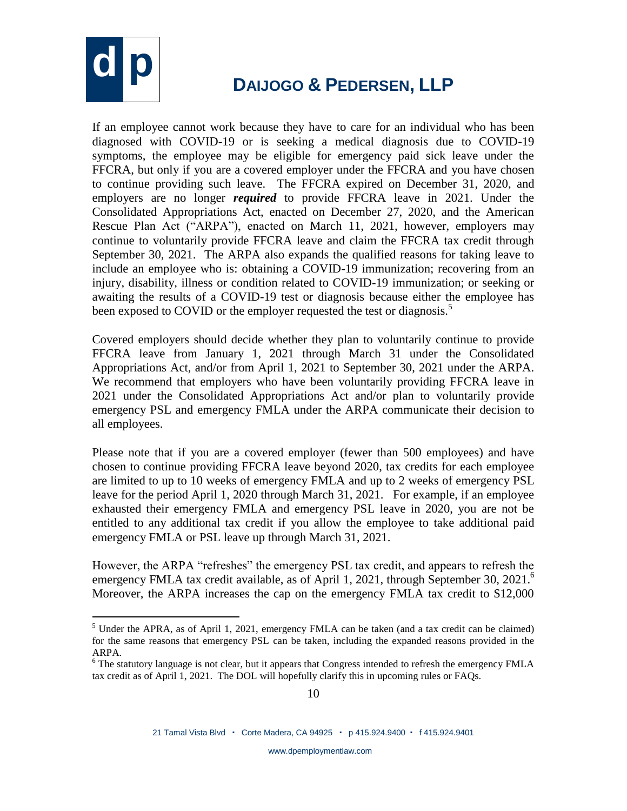

 $\overline{a}$ 

### **d p <sup>D</sup>AIJOGO & <sup>P</sup>EDERSEN, LLP**

If an employee cannot work because they have to care for an individual who has been diagnosed with COVID-19 or is seeking a medical diagnosis due to COVID-19 symptoms, the employee may be eligible for emergency paid sick leave under the FFCRA, but only if you are a covered employer under the FFCRA and you have chosen to continue providing such leave. The FFCRA expired on December 31, 2020, and employers are no longer *required* to provide FFCRA leave in 2021. Under the Consolidated Appropriations Act, enacted on December 27, 2020, and the American Rescue Plan Act ("ARPA"), enacted on March 11, 2021, however, employers may continue to voluntarily provide FFCRA leave and claim the FFCRA tax credit through September 30, 2021. The ARPA also expands the qualified reasons for taking leave to include an employee who is: obtaining a COVID-19 immunization; recovering from an injury, disability, illness or condition related to COVID-19 immunization; or seeking or awaiting the results of a COVID-19 test or diagnosis because either the employee has been exposed to COVID or the employer requested the test or diagnosis.<sup>5</sup>

Covered employers should decide whether they plan to voluntarily continue to provide FFCRA leave from January 1, 2021 through March 31 under the Consolidated Appropriations Act, and/or from April 1, 2021 to September 30, 2021 under the ARPA. We recommend that employers who have been voluntarily providing FFCRA leave in 2021 under the Consolidated Appropriations Act and/or plan to voluntarily provide emergency PSL and emergency FMLA under the ARPA communicate their decision to all employees.

Please note that if you are a covered employer (fewer than 500 employees) and have chosen to continue providing FFCRA leave beyond 2020, tax credits for each employee are limited to up to 10 weeks of emergency FMLA and up to 2 weeks of emergency PSL leave for the period April 1, 2020 through March 31, 2021. For example, if an employee exhausted their emergency FMLA and emergency PSL leave in 2020, you are not be entitled to any additional tax credit if you allow the employee to take additional paid emergency FMLA or PSL leave up through March 31, 2021.

However, the ARPA "refreshes" the emergency PSL tax credit, and appears to refresh the emergency FMLA tax credit available, as of April 1, 2021, through September 30, 2021.<sup>6</sup> Moreover, the ARPA increases the cap on the emergency FMLA tax credit to \$12,000

<sup>&</sup>lt;sup>5</sup> Under the APRA, as of April 1, 2021, emergency FMLA can be taken (and a tax credit can be claimed) for the same reasons that emergency PSL can be taken, including the expanded reasons provided in the ARPA.

<sup>&</sup>lt;sup>6</sup> The statutory language is not clear, but it appears that Congress intended to refresh the emergency FMLA tax credit as of April 1, 2021. The DOL will hopefully clarify this in upcoming rules or FAQs.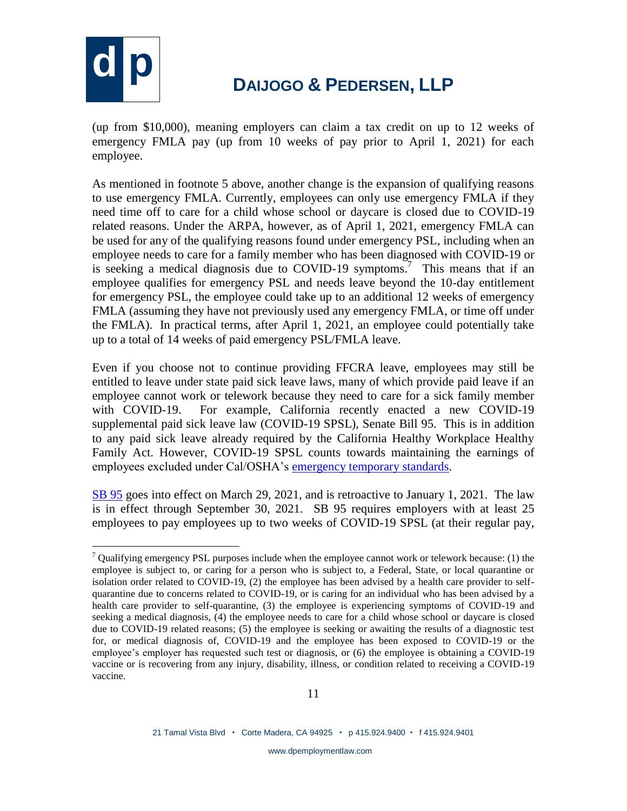

(up from \$10,000), meaning employers can claim a tax credit on up to 12 weeks of emergency FMLA pay (up from 10 weeks of pay prior to April 1, 2021) for each employee.

As mentioned in footnote 5 above, another change is the expansion of qualifying reasons to use emergency FMLA. Currently, employees can only use emergency FMLA if they need time off to care for a child whose school or daycare is closed due to COVID-19 related reasons. Under the ARPA, however, as of April 1, 2021, emergency FMLA can be used for any of the qualifying reasons found under emergency PSL, including when an employee needs to care for a family member who has been diagnosed with COVID-19 or is seeking a medical diagnosis due to COVID-19 symptoms.<sup>7</sup> This means that if an employee qualifies for emergency PSL and needs leave beyond the 10-day entitlement for emergency PSL, the employee could take up to an additional 12 weeks of emergency FMLA (assuming they have not previously used any emergency FMLA, or time off under the FMLA). In practical terms, after April 1, 2021, an employee could potentially take up to a total of 14 weeks of paid emergency PSL/FMLA leave.

Even if you choose not to continue providing FFCRA leave, employees may still be entitled to leave under state paid sick leave laws, many of which provide paid leave if an employee cannot work or telework because they need to care for a sick family member with COVID-19. For example, California recently enacted a new COVID-19 supplemental paid sick leave law (COVID-19 SPSL), Senate Bill 95. This is in addition to any paid sick leave already required by the California Healthy Workplace Healthy Family Act. However, COVID-19 SPSL counts towards maintaining the earnings of employees excluded under Cal/OSHA's [emergency temporary standards.](https://www.dir.ca.gov/dosh/coronavirus/ETS.html)

[SB 95](https://leginfo.legislature.ca.gov/faces/billTextClient.xhtml?bill_id=202120220SB95) goes into effect on March 29, 2021, and is retroactive to January 1, 2021. The law is in effect through September 30, 2021. SB 95 requires employers with at least 25 employees to pay employees up to two weeks of COVID-19 SPSL (at their regular pay,

 $\overline{a}$  $7$  Qualifying emergency PSL purposes include when the employee cannot work or telework because: (1) the employee is subject to, or caring for a person who is subject to, a Federal, State, or local quarantine or isolation order related to COVID-19, (2) the employee has been advised by a health care provider to selfquarantine due to concerns related to COVID-19, or is caring for an individual who has been advised by a health care provider to self-quarantine, (3) the employee is experiencing symptoms of COVID-19 and seeking a medical diagnosis, (4) the employee needs to care for a child whose school or daycare is closed due to COVID-19 related reasons; (5) the employee is seeking or awaiting the results of a diagnostic test for, or medical diagnosis of, COVID-19 and the employee has been exposed to COVID-19 or the employee's employer has requested such test or diagnosis, or (6) the employee is obtaining a COVID-19 vaccine or is recovering from any injury, disability, illness, or condition related to receiving a COVID-19 vaccine.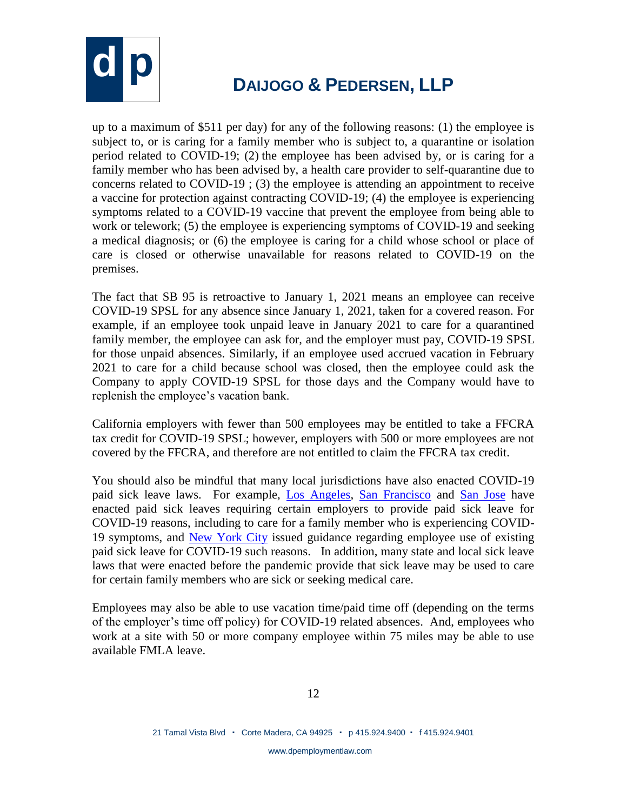

up to a maximum of \$511 per day) for any of the following reasons: (1) the employee is subject to, or is caring for a family member who is subject to, a quarantine or isolation period related to COVID-19; (2) the employee has been advised by, or is caring for a family member who has been advised by, a health care provider to self-quarantine due to concerns related to COVID-19 ; (3) the employee is attending an appointment to receive a vaccine for protection against contracting COVID-19; (4) the employee is experiencing symptoms related to a COVID-19 vaccine that prevent the employee from being able to work or telework; (5) the employee is experiencing symptoms of COVID-19 and seeking a medical diagnosis; or (6) the employee is caring for a child whose school or place of care is closed or otherwise unavailable for reasons related to COVID-19 on the premises.

The fact that SB 95 is retroactive to January 1, 2021 means an employee can receive COVID-19 SPSL for any absence since January 1, 2021, taken for a covered reason. For example, if an employee took unpaid leave in January 2021 to care for a quarantined family member, the employee can ask for, and the employer must pay, COVID-19 SPSL for those unpaid absences. Similarly, if an employee used accrued vacation in February 2021 to care for a child because school was closed, then the employee could ask the Company to apply COVID-19 SPSL for those days and the Company would have to replenish the employee's vacation bank.

California employers with fewer than 500 employees may be entitled to take a FFCRA tax credit for COVID-19 SPSL; however, employers with 500 or more employees are not covered by the FFCRA, and therefore are not entitled to claim the FFCRA tax credit.

You should also be mindful that many local jurisdictions have also enacted COVID-19 paid sick leave laws. For example, [Los Angeles,](https://www.lamayor.org/sites/g/files/wph446/f/page/file/SUPPLEMENTALPAIDSICKLEAVE.pdf) [San Francisco](https://sfgov.org/olse/sites/default/files/Public%20Health%20Emergency%20Leave%20-%20FINAL_0.pdf) and [San Jose](https://www.sanjoseca.gov/home/showdocument?id=56816) have enacted paid sick leaves requiring certain employers to provide paid sick leave for COVID-19 reasons, including to care for a family member who is experiencing COVID-19 symptoms, and [New York City](https://www1.nyc.gov/assets/dca/downloads/pdf/workers/Complying-with-NYC-Workplace-Laws-During-COVID-19.pdf) issued guidance regarding employee use of existing paid sick leave for COVID-19 such reasons. In addition, many state and local sick leave laws that were enacted before the pandemic provide that sick leave may be used to care for certain family members who are sick or seeking medical care.

Employees may also be able to use vacation time/paid time off (depending on the terms of the employer's time off policy) for COVID-19 related absences. And, employees who work at a site with 50 or more company employee within 75 miles may be able to use available FMLA leave.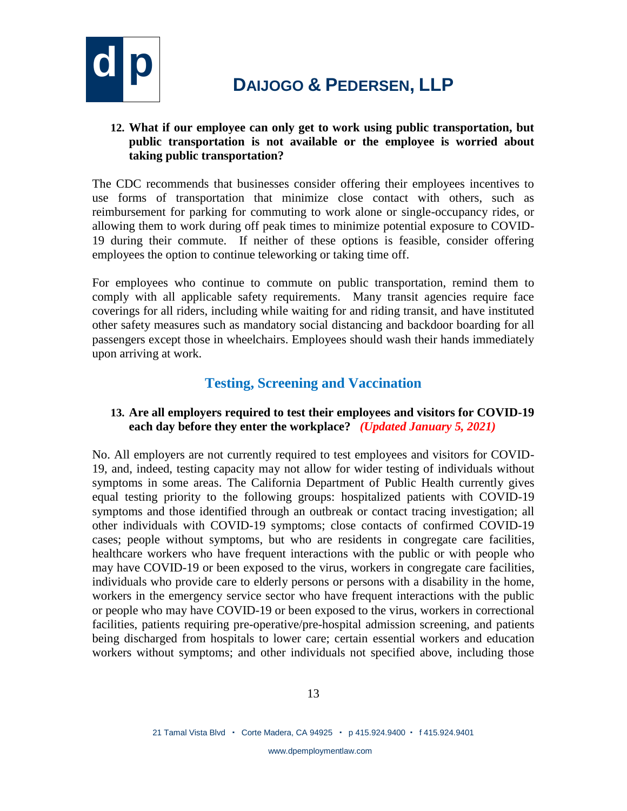

### **12. What if our employee can only get to work using public transportation, but public transportation is not available or the employee is worried about taking public transportation?**

The CDC recommends that businesses consider offering their employees incentives to use forms of transportation that minimize close contact with others, such as reimbursement for parking for commuting to work alone or single-occupancy rides, or allowing them to work during off peak times to minimize potential exposure to COVID-19 during their commute. If neither of these options is feasible, consider offering employees the option to continue teleworking or taking time off.

For employees who continue to commute on public transportation, remind them to comply with all applicable safety requirements. Many transit agencies require face coverings for all riders, including while waiting for and riding transit, and have instituted other safety measures such as mandatory social distancing and backdoor boarding for all passengers except those in wheelchairs. Employees should wash their hands immediately upon arriving at work.

### **Testing, Screening and Vaccination**

### **13. Are all employers required to test their employees and visitors for COVID-19 each day before they enter the workplace?** *(Updated January 5, 2021)*

No. All employers are not currently required to test employees and visitors for COVID-19, and, indeed, testing capacity may not allow for wider testing of individuals without symptoms in some areas. The California Department of Public Health currently gives equal testing priority to the following groups: hospitalized patients with COVID-19 symptoms and those identified through an outbreak or contact tracing investigation; all other individuals with COVID-19 symptoms; close contacts of confirmed COVID-19 cases; people without symptoms, but who are residents in congregate care facilities, healthcare workers who have frequent interactions with the public or with people who may have COVID-19 or been exposed to the virus, workers in congregate care facilities, individuals who provide care to elderly persons or persons with a disability in the home, workers in the emergency service sector who have frequent interactions with the public or people who may have COVID-19 or been exposed to the virus, workers in correctional facilities, patients requiring pre-operative/pre-hospital admission screening, and patients being discharged from hospitals to lower care; certain essential workers and education workers without symptoms; and other individuals not specified above, including those

www.dpemploymentlaw.com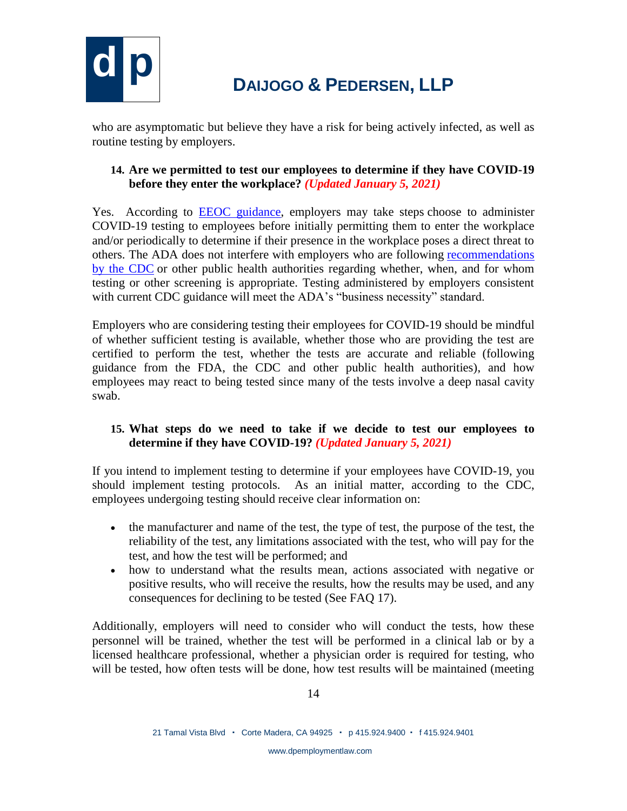

who are asymptomatic but believe they have a risk for being actively infected, as well as routine testing by employers.

### **14. Are we permitted to test our employees to determine if they have COVID-19 before they enter the workplace?** *(Updated January 5, 2021)*

Yes. According to [EEOC guidance,](https://www.eeoc.gov/wysk/what-you-should-know-about-covid-19-and-ada-rehabilitation-act-and-other-eeo-laws) employers may take steps choose to administer COVID-19 testing to employees before initially permitting them to enter the workplace and/or periodically to determine if their presence in the workplace poses a direct threat to others. The ADA does not interfere with employers who are following [recommendations](https://www.cdc.gov/coronavirus/2019-ncov/community/organizations/testing-non-healthcare-workplaces.html)  [by the CDC](https://www.cdc.gov/coronavirus/2019-ncov/community/organizations/testing-non-healthcare-workplaces.html) or other public health authorities regarding whether, when, and for whom testing or other screening is appropriate. Testing administered by employers consistent with current CDC guidance will meet the ADA's "business necessity" standard.

Employers who are considering testing their employees for COVID-19 should be mindful of whether sufficient testing is available, whether those who are providing the test are certified to perform the test, whether the tests are accurate and reliable (following guidance from the FDA, the CDC and other public health authorities), and how employees may react to being tested since many of the tests involve a deep nasal cavity swab.

### **15. What steps do we need to take if we decide to test our employees to determine if they have COVID-19?** *(Updated January 5, 2021)*

If you intend to implement testing to determine if your employees have COVID-19, you should implement testing protocols. As an initial matter, according to the CDC, employees undergoing testing should receive clear information on:

- the manufacturer and name of the test, the type of test, the purpose of the test, the reliability of the test, any limitations associated with the test, who will pay for the test, and how the test will be performed; and
- how to understand what the results mean, actions associated with negative or positive results, who will receive the results, how the results may be used, and any consequences for declining to be tested (See FAQ 17).

Additionally, employers will need to consider who will conduct the tests, how these personnel will be trained, whether the test will be performed in a clinical lab or by a licensed healthcare professional, whether a physician order is required for testing, who will be tested, how often tests will be done, how test results will be maintained (meeting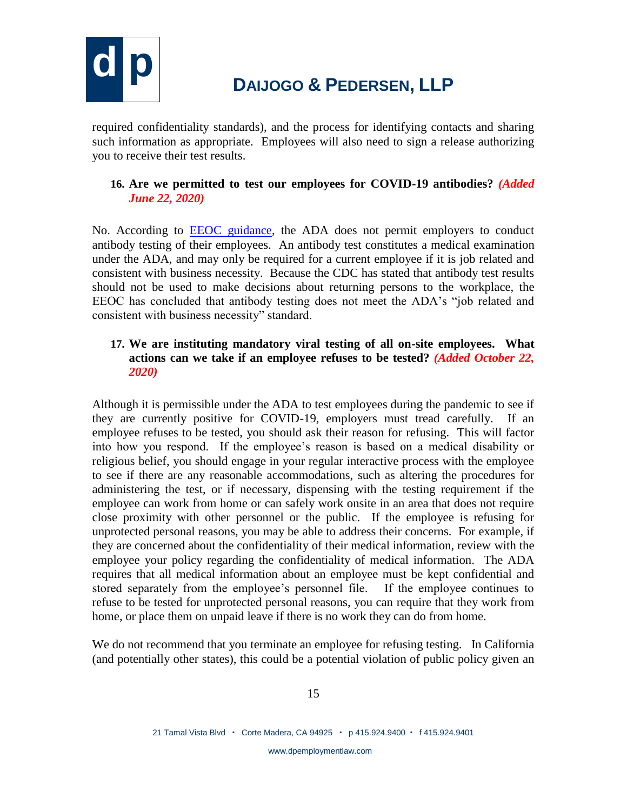

required confidentiality standards), and the process for identifying contacts and sharing such information as appropriate. Employees will also need to sign a release authorizing you to receive their test results.

#### **16. Are we permitted to test our employees for COVID-19 antibodies?** *(Added June 22, 2020)*

No. According to [EEOC guidance,](https://www.eeoc.gov/wysk/what-you-should-know-about-covid-19-and-ada-rehabilitation-act-and-other-eeo-laws) the ADA does not permit employers to conduct antibody testing of their employees. An antibody test constitutes a medical examination under the ADA, and may only be required for a current employee if it is job related and consistent with business necessity. Because the CDC has stated that antibody test results should not be used to make decisions about returning persons to the workplace, the EEOC has concluded that antibody testing does not meet the ADA's "job related and consistent with business necessity" standard.

#### **17. We are instituting mandatory viral testing of all on-site employees. What actions can we take if an employee refuses to be tested?** *(Added October 22, 2020)*

Although it is permissible under the ADA to test employees during the pandemic to see if they are currently positive for COVID-19, employers must tread carefully. If an employee refuses to be tested, you should ask their reason for refusing. This will factor into how you respond. If the employee's reason is based on a medical disability or religious belief, you should engage in your regular interactive process with the employee to see if there are any reasonable accommodations, such as altering the procedures for administering the test, or if necessary, dispensing with the testing requirement if the employee can work from home or can safely work onsite in an area that does not require close proximity with other personnel or the public. If the employee is refusing for unprotected personal reasons, you may be able to address their concerns. For example, if they are concerned about the confidentiality of their medical information, review with the employee your policy regarding the confidentiality of medical information. The ADA requires that all medical information about an employee must be kept confidential and stored separately from the employee's personnel file. If the employee continues to refuse to be tested for unprotected personal reasons, you can require that they work from home, or place them on unpaid leave if there is no work they can do from home.

We do not recommend that you terminate an employee for refusing testing. In California (and potentially other states), this could be a potential violation of public policy given an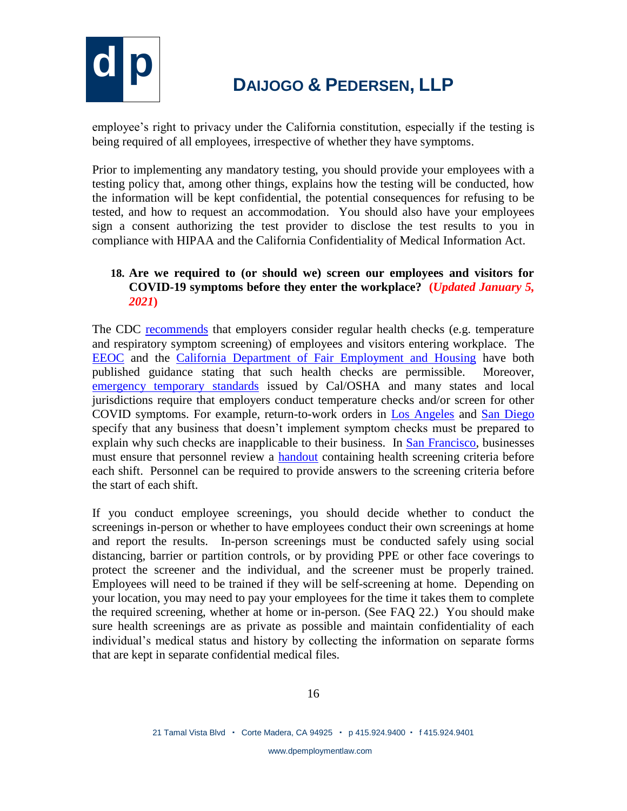

employee's right to privacy under the California constitution, especially if the testing is being required of all employees, irrespective of whether they have symptoms.

Prior to implementing any mandatory testing, you should provide your employees with a testing policy that, among other things, explains how the testing will be conducted, how the information will be kept confidential, the potential consequences for refusing to be tested, and how to request an accommodation. You should also have your employees sign a consent authorizing the test provider to disclose the test results to you in compliance with HIPAA and the California Confidentiality of Medical Information Act.

### **18. Are we required to (or should we) screen our employees and visitors for COVID-19 symptoms before they enter the workplace? (***Updated January 5, 2021***)**

The CDC [recommends](https://www.cdc.gov/coronavirus/2019-ncov/community/guidance-business-response.html) that employers consider regular health checks (e.g. temperature and respiratory symptom screening) of employees and visitors entering workplace. The [EEOC](https://www.eeoc.gov/wysk/what-you-should-know-about-covid-19-and-ada-rehabilitation-act-and-other-eeo-laws) and the [California Department of Fair Employment and Housing](https://www.dfeh.ca.gov/wp-content/uploads/sites/32/2020/03/DFEH-Employment-Information-on-COVID-19-FAQ_ENG.pdf) have both published guidance stating that such health checks are permissible. Moreover, [emergency temporary standards](https://www.dir.ca.gov/dosh/coronavirus/ETS.html) issued by Cal/OSHA and many states and local jurisdictions require that employers conduct temperature checks and/or screen for other COVID symptoms. For example, return-to-work orders in [Los Angeles](http://publichealth.lacounty.gov/media/coronavirus/docs/protocols/Reopening_SocialDistancing.pdf) and [San Diego](https://www.sandiegocounty.gov/content/dam/sdc/hhsa/programs/phs/Epidemiology/covid19/Community_Sector_Support/BusinessesandEmployers/SafeReopeningPlanTemplate.pdf) specify that any business that doesn't implement symptom checks must be prepared to explain why such checks are inapplicable to their business. In [San Francisco,](https://www.sfdph.org/dph/alerts/files/C19-07-Appendix-A.pdf) businesses must ensure that personnel review a [handout](https://www.sfdph.org/dph/alerts/files/C19-07-Personnel-Screening-Attachment-A-1.pdf) containing health screening criteria before each shift. Personnel can be required to provide answers to the screening criteria before the start of each shift.

If you conduct employee screenings, you should decide whether to conduct the screenings in-person or whether to have employees conduct their own screenings at home and report the results. In-person screenings must be conducted safely using social distancing, barrier or partition controls, or by providing PPE or other face coverings to protect the screener and the individual, and the screener must be properly trained. Employees will need to be trained if they will be self-screening at home. Depending on your location, you may need to pay your employees for the time it takes them to complete the required screening, whether at home or in-person. (See FAQ 22.) You should make sure health screenings are as private as possible and maintain confidentiality of each individual's medical status and history by collecting the information on separate forms that are kept in separate confidential medical files.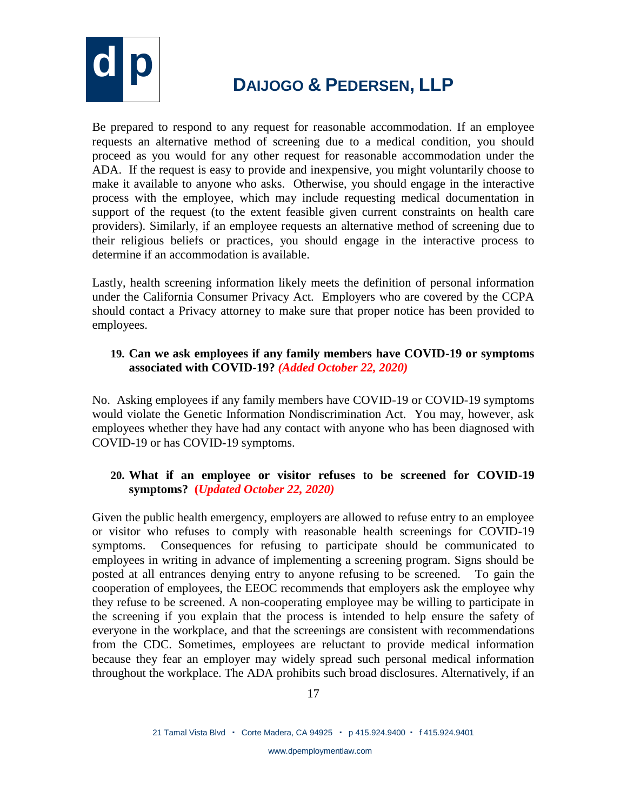

Be prepared to respond to any request for reasonable accommodation. If an employee requests an alternative method of screening due to a medical condition, you should proceed as you would for any other request for reasonable accommodation under the ADA. If the request is easy to provide and inexpensive, you might voluntarily choose to make it available to anyone who asks. Otherwise, you should engage in the interactive process with the employee, which may include requesting medical documentation in support of the request (to the extent feasible given current constraints on health care providers). Similarly, if an employee requests an alternative method of screening due to their religious beliefs or practices, you should engage in the interactive process to determine if an accommodation is available.

Lastly, health screening information likely meets the definition of personal information under the California Consumer Privacy Act. Employers who are covered by the CCPA should contact a Privacy attorney to make sure that proper notice has been provided to employees.

#### **19. Can we ask employees if any family members have COVID-19 or symptoms associated with COVID-19?** *(Added October 22, 2020)*

No. Asking employees if any family members have COVID-19 or COVID-19 symptoms would violate the Genetic Information Nondiscrimination Act. You may, however, ask employees whether they have had any contact with anyone who has been diagnosed with COVID-19 or has COVID-19 symptoms.

### **20. What if an employee or visitor refuses to be screened for COVID-19 symptoms? (***Updated October 22, 2020)*

Given the public health emergency, employers are allowed to refuse entry to an employee or visitor who refuses to comply with reasonable health screenings for COVID-19 symptoms. Consequences for refusing to participate should be communicated to employees in writing in advance of implementing a screening program. Signs should be posted at all entrances denying entry to anyone refusing to be screened. To gain the cooperation of employees, the EEOC recommends that employers ask the employee why they refuse to be screened. A non-cooperating employee may be willing to participate in the screening if you explain that the process is intended to help ensure the safety of everyone in the workplace, and that the screenings are consistent with recommendations from the CDC. Sometimes, employees are reluctant to provide medical information because they fear an employer may widely spread such personal medical information throughout the workplace. The ADA prohibits such broad disclosures. Alternatively, if an

www.dpemploymentlaw.com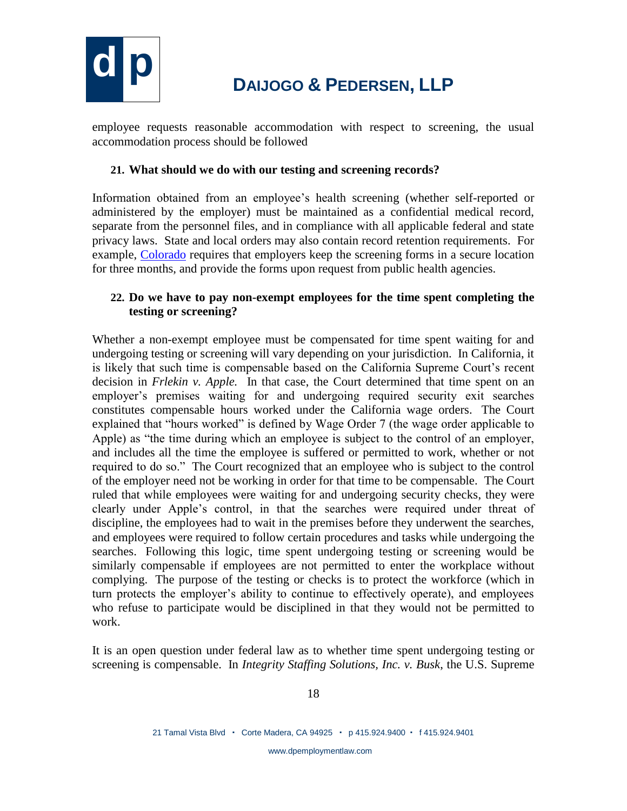

employee requests reasonable accommodation with respect to screening, the usual accommodation process should be followed

#### **21. What should we do with our testing and screening records?**

Information obtained from an employee's health screening (whether self-reported or administered by the employer) must be maintained as a confidential medical record, separate from the personnel files, and in compliance with all applicable federal and state privacy laws. State and local orders may also contain record retention requirements. For example, [Colorado](https://drive.google.com/file/d/1w4xfCKF3ELTULfpqLoASRofW_LRb2glz/view) requires that employers keep the screening forms in a secure location for three months, and provide the forms upon request from public health agencies.

### **22. Do we have to pay non-exempt employees for the time spent completing the testing or screening?**

Whether a non-exempt employee must be compensated for time spent waiting for and undergoing testing or screening will vary depending on your jurisdiction. In California, it is likely that such time is compensable based on the California Supreme Court's recent decision in *Frlekin v. Apple.* In that case, the Court determined that time spent on an employer's premises waiting for and undergoing required security exit searches constitutes compensable hours worked under the California wage orders. The Court explained that "hours worked" is defined by Wage Order 7 (the wage order applicable to Apple) as "the time during which an employee is subject to the control of an employer, and includes all the time the employee is suffered or permitted to work, whether or not required to do so." The Court recognized that an employee who is subject to the control of the employer need not be working in order for that time to be compensable. The Court ruled that while employees were waiting for and undergoing security checks, they were clearly under Apple's control, in that the searches were required under threat of discipline, the employees had to wait in the premises before they underwent the searches, and employees were required to follow certain procedures and tasks while undergoing the searches. Following this logic, time spent undergoing testing or screening would be similarly compensable if employees are not permitted to enter the workplace without complying. The purpose of the testing or checks is to protect the workforce (which in turn protects the employer's ability to continue to effectively operate), and employees who refuse to participate would be disciplined in that they would not be permitted to work.

It is an open question under federal law as to whether time spent undergoing testing or screening is compensable. In *Integrity Staffing Solutions, Inc. v. Busk*, the U.S. Supreme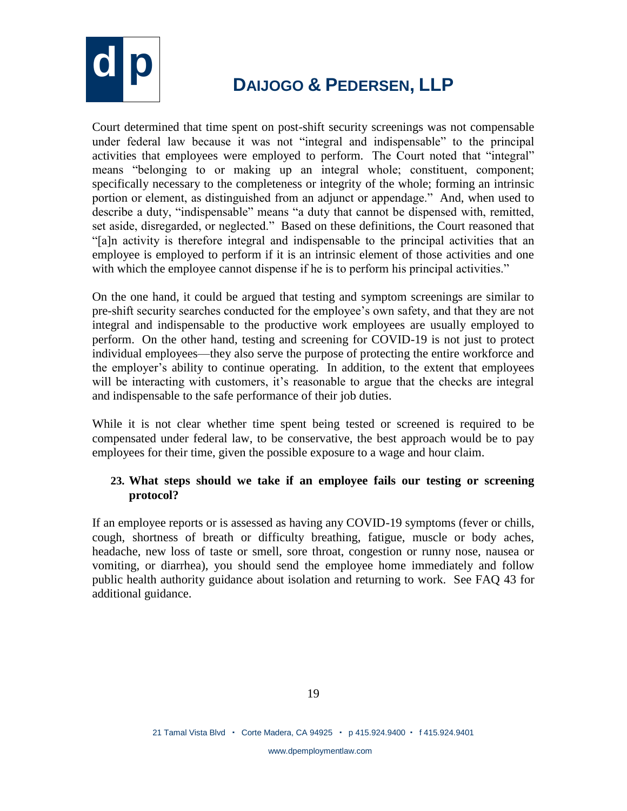

Court determined that time spent on post-shift security screenings was not compensable under federal law because it was not "integral and indispensable" to the principal activities that employees were employed to perform. The Court noted that "integral" means "belonging to or making up an integral whole; constituent, component; specifically necessary to the completeness or integrity of the whole; forming an intrinsic portion or element, as distinguished from an adjunct or appendage." And, when used to describe a duty, "indispensable" means "a duty that cannot be dispensed with, remitted, set aside, disregarded, or neglected." Based on these definitions, the Court reasoned that "[a]n activity is therefore integral and indispensable to the principal activities that an employee is employed to perform if it is an intrinsic element of those activities and one with which the employee cannot dispense if he is to perform his principal activities."

On the one hand, it could be argued that testing and symptom screenings are similar to pre-shift security searches conducted for the employee's own safety, and that they are not integral and indispensable to the productive work employees are usually employed to perform. On the other hand, testing and screening for COVID-19 is not just to protect individual employees—they also serve the purpose of protecting the entire workforce and the employer's ability to continue operating. In addition, to the extent that employees will be interacting with customers, it's reasonable to argue that the checks are integral and indispensable to the safe performance of their job duties.

While it is not clear whether time spent being tested or screened is required to be compensated under federal law, to be conservative, the best approach would be to pay employees for their time, given the possible exposure to a wage and hour claim.

### **23. What steps should we take if an employee fails our testing or screening protocol?**

If an employee reports or is assessed as having any COVID-19 symptoms (fever or chills, cough, shortness of breath or difficulty breathing, fatigue, muscle or body aches, headache, new loss of taste or smell, sore throat, congestion or runny nose, nausea or vomiting, or diarrhea), you should send the employee home immediately and follow public health authority guidance about isolation and returning to work. See FAQ 43 for additional guidance.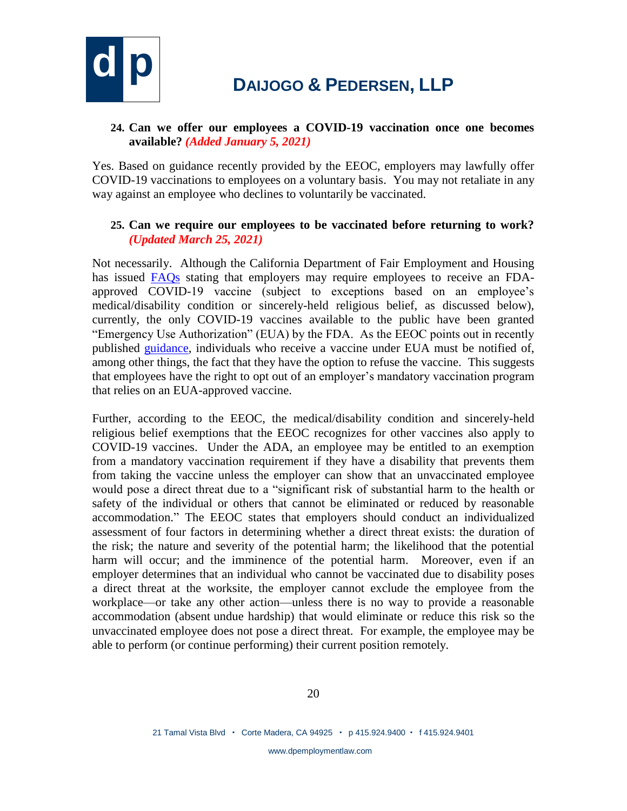

### **24. Can we offer our employees a COVID-19 vaccination once one becomes available?** *(Added January 5, 2021)*

Yes. Based on guidance recently provided by the EEOC, employers may lawfully offer COVID-19 vaccinations to employees on a voluntary basis. You may not retaliate in any way against an employee who declines to voluntarily be vaccinated.

### **25. Can we require our employees to be vaccinated before returning to work?**  *(Updated March 25, 2021)*

Not necessarily. Although the California Department of Fair Employment and Housing has issued [FAQs](https://www.dfeh.ca.gov/wp-content/uploads/sites/32/2020/03/DFEH-Employment-Information-on-COVID-19-FAQ_ENG.pdf) stating that employers may require employees to receive an FDAapproved COVID-19 vaccine (subject to exceptions based on an employee's medical/disability condition or sincerely-held religious belief, as discussed below), currently, the only COVID-19 vaccines available to the public have been granted "Emergency Use Authorization" (EUA) by the FDA. As the EEOC points out in recently published [guidance,](https://www.eeoc.gov/wysk/what-you-should-know-about-covid-19-and-ada-rehabilitation-act-and-other-eeo-laws) individuals who receive a vaccine under EUA must be notified of, among other things, the fact that they have the option to refuse the vaccine. This suggests that employees have the right to opt out of an employer's mandatory vaccination program that relies on an EUA-approved vaccine.

Further, according to the EEOC, the medical/disability condition and sincerely-held religious belief exemptions that the EEOC recognizes for other vaccines also apply to COVID-19 vaccines. Under the ADA, an employee may be entitled to an exemption from a mandatory vaccination requirement if they have a disability that prevents them from taking the vaccine unless the employer can show that an unvaccinated employee would pose a direct threat due to a "significant risk of substantial harm to the health or safety of the individual or others that cannot be eliminated or reduced by reasonable accommodation." The EEOC states that employers should conduct an individualized assessment of four factors in determining whether a direct threat exists: the duration of the risk; the nature and severity of the potential harm; the likelihood that the potential harm will occur; and the imminence of the potential harm. Moreover, even if an employer determines that an individual who cannot be vaccinated due to disability poses a direct threat at the worksite, the employer cannot exclude the employee from the workplace—or take any other action—unless there is no way to provide a reasonable accommodation (absent undue hardship) that would eliminate or reduce this risk so the unvaccinated employee does not pose a direct threat. For example, the employee may be able to perform (or continue performing) their current position remotely.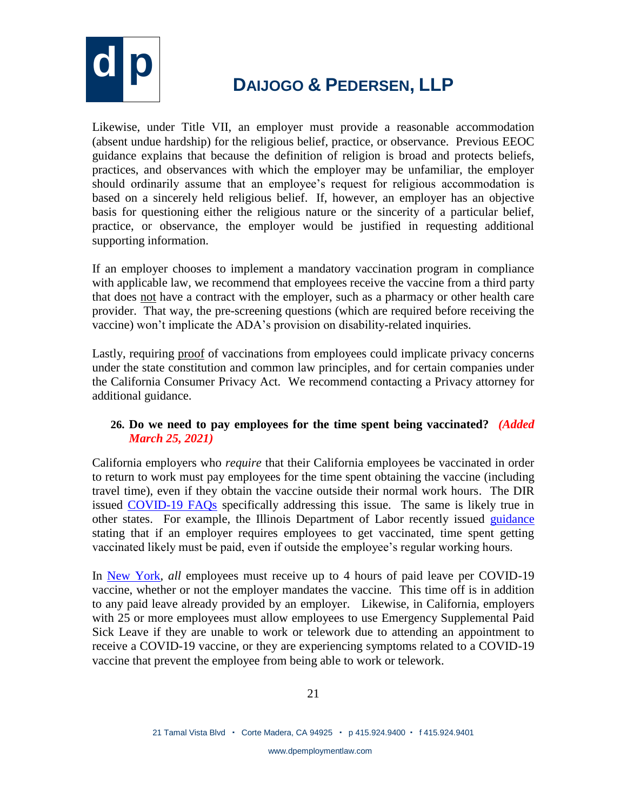

Likewise, under Title VII, an employer must provide a reasonable accommodation (absent undue hardship) for the religious belief, practice, or observance. Previous EEOC guidance explains that because the definition of religion is broad and protects beliefs, practices, and observances with which the employer may be unfamiliar, the employer should ordinarily assume that an employee's request for religious accommodation is based on a sincerely held religious belief. If, however, an employer has an objective basis for questioning either the religious nature or the sincerity of a particular belief, practice, or observance, the employer would be justified in requesting additional supporting information.

If an employer chooses to implement a mandatory vaccination program in compliance with applicable law, we recommend that employees receive the vaccine from a third party that does not have a contract with the employer, such as a pharmacy or other health care provider. That way, the pre-screening questions (which are required before receiving the vaccine) won't implicate the ADA's provision on disability-related inquiries.

Lastly, requiring proof of vaccinations from employees could implicate privacy concerns under the state constitution and common law principles, and for certain companies under the California Consumer Privacy Act. We recommend contacting a Privacy attorney for additional guidance.

### **26. Do we need to pay employees for the time spent being vaccinated?** *(Added March 25, 2021)*

California employers who *require* that their California employees be vaccinated in order to return to work must pay employees for the time spent obtaining the vaccine (including travel time), even if they obtain the vaccine outside their normal work hours. The DIR issued [COVID-19 FAQs](https://www.dir.ca.gov/dlse/COVID19resources/FAQs-Testing-Vaccine.html) specifically addressing this issue. The same is likely true in other states. For example, the Illinois Department of Labor recently issued [guidance](https://www2.illinois.gov/idol/Documents/IDOL_Vaccine%20Leave%20Guidance.pdf) stating that if an employer requires employees to get vaccinated, time spent getting vaccinated likely must be paid, even if outside the employee's regular working hours.

In [New York,](https://legislation.nysenate.gov/pdf/bills/2021/S2588A) *all* employees must receive up to 4 hours of paid leave per COVID-19 vaccine, whether or not the employer mandates the vaccine. This time off is in addition to any paid leave already provided by an employer. Likewise, in California, employers with 25 or more employees must allow employees to use Emergency Supplemental Paid Sick Leave if they are unable to work or telework due to attending an appointment to receive a COVID-19 vaccine, or they are experiencing symptoms related to a COVID-19 vaccine that prevent the employee from being able to work or telework.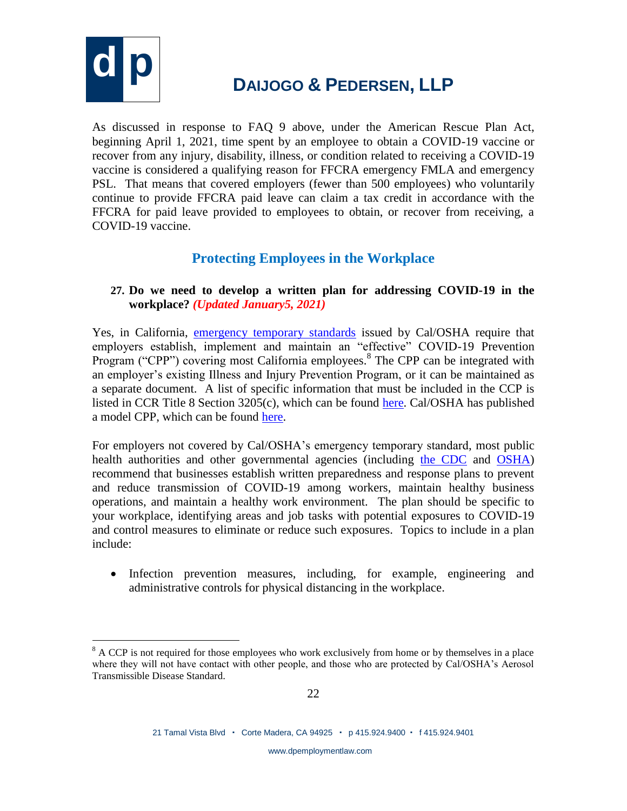

 $\overline{a}$ 

# **d p <sup>D</sup>AIJOGO & <sup>P</sup>EDERSEN, LLP**

As discussed in response to FAQ 9 above, under the American Rescue Plan Act, beginning April 1, 2021, time spent by an employee to obtain a COVID-19 vaccine or recover from any injury, disability, illness, or condition related to receiving a COVID-19 vaccine is considered a qualifying reason for FFCRA emergency FMLA and emergency PSL. That means that covered employers (fewer than 500 employees) who voluntarily continue to provide FFCRA paid leave can claim a tax credit in accordance with the FFCRA for paid leave provided to employees to obtain, or recover from receiving, a COVID-19 vaccine.

### **Protecting Employees in the Workplace**

### **27. Do we need to develop a written plan for addressing COVID-19 in the workplace?** *(Updated January5, 2021)*

Yes, in California, [emergency temporary standards](https://www.dir.ca.gov/dosh/coronavirus/ETS.html) issued by Cal/OSHA require that employers establish, implement and maintain an "effective" COVID-19 Prevention Program ("CPP") covering most California employees.<sup>8</sup> The CPP can be integrated with an employer's existing Illness and Injury Prevention Program, or it can be maintained as a separate document. A list of specific information that must be included in the CCP is listed in CCR Title 8 Section  $3205(c)$ , which can be found [here.](https://www.dir.ca.gov/title8/3205.html) Cal/OSHA has published a model CPP, which can be found [here.](https://www.dir.ca.gov/dosh/coronavirus/ETS.html)

For employers not covered by Cal/OSHA's emergency temporary standard, most public health authorities and other governmental agencies (including [the CDC](https://www.cdc.gov/coronavirus/2019-ncov/community/organizations/businesses-employers.html) and [OSHA\)](https://www.osha.gov/Publications/OSHA3990.pdf) recommend that businesses establish written preparedness and response plans to prevent and reduce transmission of COVID-19 among workers, maintain healthy business operations, and maintain a healthy work environment. The plan should be specific to your workplace, identifying areas and job tasks with potential exposures to COVID-19 and control measures to eliminate or reduce such exposures. Topics to include in a plan include:

• Infection prevention measures, including, for example, engineering and administrative controls for physical distancing in the workplace.

 $8$  A CCP is not required for those employees who work exclusively from home or by themselves in a place where they will not have contact with other people, and those who are protected by Cal/OSHA's Aerosol Transmissible Disease Standard.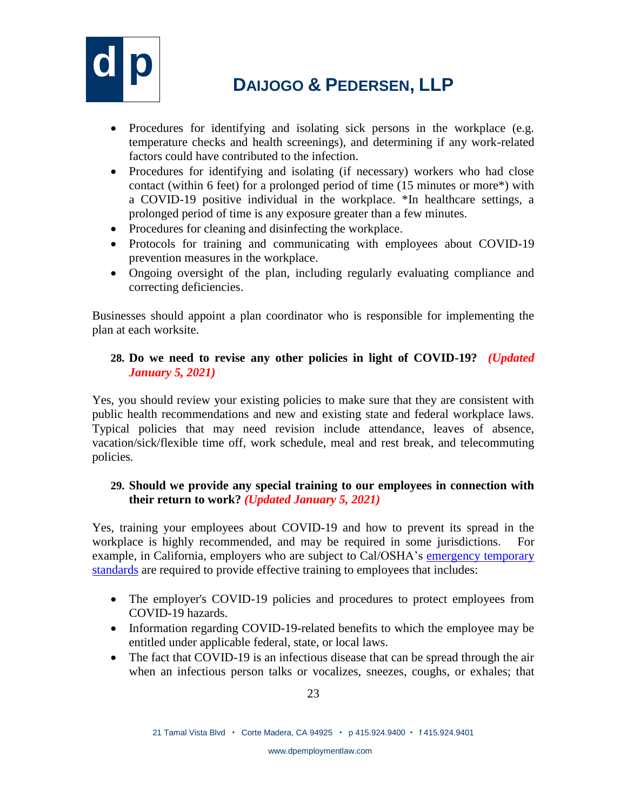

- Procedures for identifying and isolating sick persons in the workplace (e.g. temperature checks and health screenings), and determining if any work-related factors could have contributed to the infection.
- Procedures for identifying and isolating (if necessary) workers who had close contact (within 6 feet) for a prolonged period of time (15 minutes or more\*) with a COVID-19 positive individual in the workplace. \*In healthcare settings, a prolonged period of time is any exposure greater than a few minutes.
- Procedures for cleaning and disinfecting the workplace.
- Protocols for training and communicating with employees about COVID-19 prevention measures in the workplace.
- Ongoing oversight of the plan, including regularly evaluating compliance and correcting deficiencies.

Businesses should appoint a plan coordinator who is responsible for implementing the plan at each worksite.

#### **28. Do we need to revise any other policies in light of COVID-19?** *(Updated January 5, 2021)*

Yes, you should review your existing policies to make sure that they are consistent with public health recommendations and new and existing state and federal workplace laws. Typical policies that may need revision include attendance, leaves of absence, vacation/sick/flexible time off, work schedule, meal and rest break, and telecommuting policies.

#### **29. Should we provide any special training to our employees in connection with their return to work?** *(Updated January 5, 2021)*

Yes, training your employees about COVID-19 and how to prevent its spread in the workplace is highly recommended, and may be required in some jurisdictions. For example, in California, employers who are subject to Cal/OSHA's [emergency temporary](https://www.dir.ca.gov/dosh/coronavirus/ETS.html)  [standards](https://www.dir.ca.gov/dosh/coronavirus/ETS.html) are required to provide effective training to employees that includes:

- The employer's COVID-19 policies and procedures to protect employees from COVID-19 hazards.
- Information regarding COVID-19-related benefits to which the employee may be entitled under applicable federal, state, or local laws.
- The fact that COVID-19 is an infectious disease that can be spread through the air when an infectious person talks or vocalizes, sneezes, coughs, or exhales; that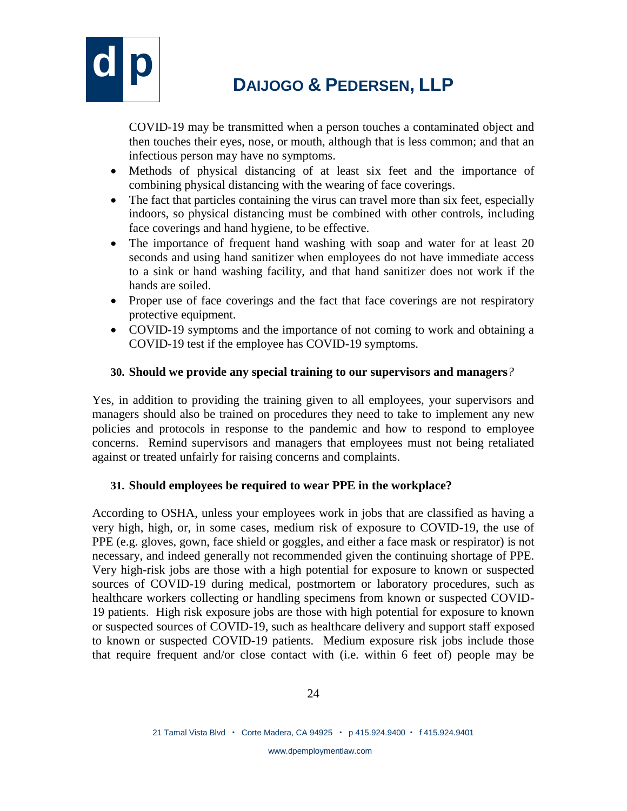

COVID-19 may be transmitted when a person touches a contaminated object and then touches their eyes, nose, or mouth, although that is less common; and that an infectious person may have no symptoms.

- Methods of physical distancing of at least six feet and the importance of combining physical distancing with the wearing of face coverings.
- The fact that particles containing the virus can travel more than six feet, especially indoors, so physical distancing must be combined with other controls, including face coverings and hand hygiene, to be effective.
- The importance of frequent hand washing with soap and water for at least 20 seconds and using hand sanitizer when employees do not have immediate access to a sink or hand washing facility, and that hand sanitizer does not work if the hands are soiled.
- Proper use of face coverings and the fact that face coverings are not respiratory protective equipment.
- COVID-19 symptoms and the importance of not coming to work and obtaining a COVID-19 test if the employee has COVID-19 symptoms.

### **30. Should we provide any special training to our supervisors and managers***?*

Yes, in addition to providing the training given to all employees, your supervisors and managers should also be trained on procedures they need to take to implement any new policies and protocols in response to the pandemic and how to respond to employee concerns. Remind supervisors and managers that employees must not being retaliated against or treated unfairly for raising concerns and complaints.

### **31. Should employees be required to wear PPE in the workplace?**

According to OSHA, unless your employees work in jobs that are classified as having a very high, high, or, in some cases, medium risk of exposure to COVID-19, the use of PPE (e.g. gloves, gown, face shield or goggles, and either a face mask or respirator) is not necessary, and indeed generally not recommended given the continuing shortage of PPE. Very high-risk jobs are those with a high potential for exposure to known or suspected sources of COVID-19 during medical, postmortem or laboratory procedures, such as healthcare workers collecting or handling specimens from known or suspected COVID-19 patients. High risk exposure jobs are those with high potential for exposure to known or suspected sources of COVID-19, such as healthcare delivery and support staff exposed to known or suspected COVID-19 patients. Medium exposure risk jobs include those that require frequent and/or close contact with (i.e. within 6 feet of) people may be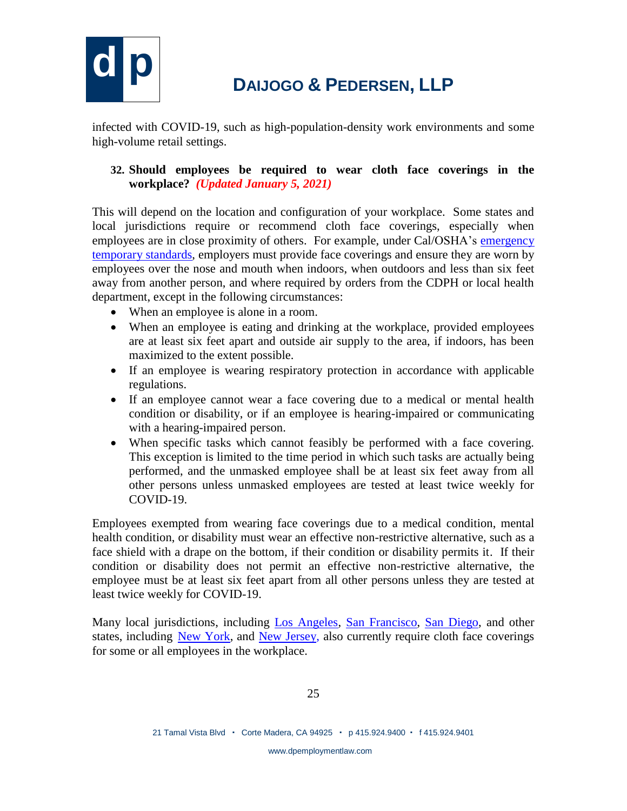

infected with COVID-19, such as high-population-density work environments and some high-volume retail settings.

### **32. Should employees be required to wear cloth face coverings in the workplace?** *(Updated January 5, 2021)*

This will depend on the location and configuration of your workplace. Some states and local jurisdictions require or recommend cloth face coverings, especially when employees are in close proximity of others. For example, under Cal/OSHA's [emergency](https://www.dir.ca.gov/dosh/coronavirus/ETS.html)  [temporary standards,](https://www.dir.ca.gov/dosh/coronavirus/ETS.html) employers must provide face coverings and ensure they are worn by employees over the nose and mouth when indoors, when outdoors and less than six feet away from another person, and where required by orders from the CDPH or local health department, except in the following circumstances:

- When an employee is alone in a room.
- When an employee is eating and drinking at the workplace, provided employees are at least six feet apart and outside air supply to the area, if indoors, has been maximized to the extent possible.
- If an employee is wearing respiratory protection in accordance with applicable regulations.
- If an employee cannot wear a face covering due to a medical or mental health condition or disability, or if an employee is hearing-impaired or communicating with a hearing-impaired person.
- When specific tasks which cannot feasibly be performed with a face covering. This exception is limited to the time period in which such tasks are actually being performed, and the unmasked employee shall be at least six feet away from all other persons unless unmasked employees are tested at least twice weekly for COVID-19.

Employees exempted from wearing face coverings due to a medical condition, mental health condition, or disability must wear an effective non-restrictive alternative, such as a face shield with a drape on the bottom, if their condition or disability permits it. If their condition or disability does not permit an effective non-restrictive alternative, the employee must be at least six feet apart from all other persons unless they are tested at least twice weekly for COVID-19.

Many local jurisdictions, including [Los Angeles,](https://www.lamayor.org/sites/g/files/wph446/f/page/file/WorkerProtectionOrd.pdf) [San Francisco,](https://sf.gov/news/new-health-directives-set-stage-safe-reopening) [San Diego,](https://www.sandiegocounty.gov/content/dam/sdc/hhsa/programs/phs/Epidemiology/covid19/Community_Sector_Support/BusinessesandEmployers/SafeReopeningPlanTemplate.pdf) and other states, including [New York,](https://regs.health.ny.gov/volume-1a-title-10/content/section-66-32-face-coverings) and [New Jersey,](https://nj.gov/infobank/eo/056murphy/pdf/EO-122.pdf) also currently require cloth face coverings for some or all employees in the workplace.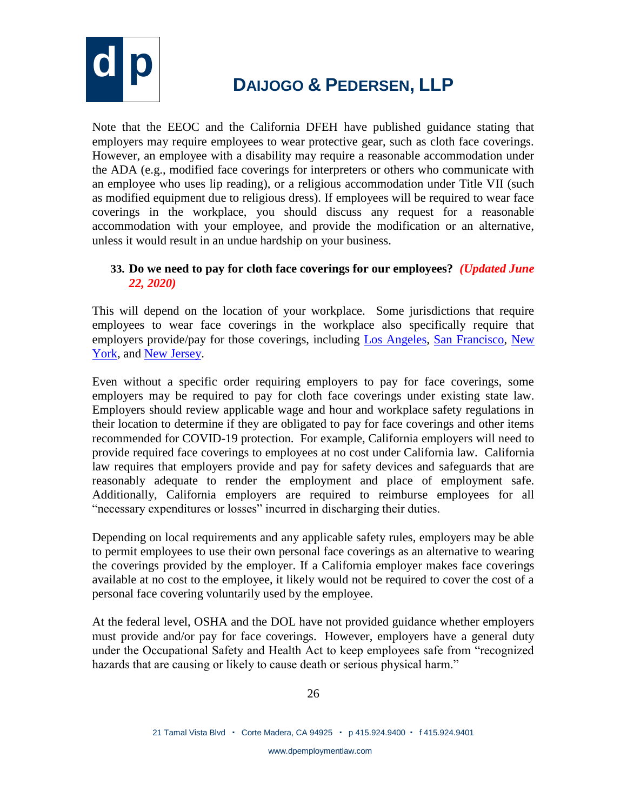

Note that the EEOC and the California DFEH have published guidance stating that employers may require employees to wear protective gear, such as cloth face coverings. However, an employee with a disability may require a reasonable accommodation under the ADA (e.g., modified face coverings for interpreters or others who communicate with an employee who uses lip reading), or a religious accommodation under Title VII (such as modified equipment due to religious dress). If employees will be required to wear face coverings in the workplace, you should discuss any request for a reasonable accommodation with your employee, and provide the modification or an alternative, unless it would result in an undue hardship on your business.

### **33. Do we need to pay for cloth face coverings for our employees?** *(Updated June 22, 2020)*

This will depend on the location of your workplace. Some jurisdictions that require employees to wear face coverings in the workplace also specifically require that employers provide/pay for those coverings, including [Los Angeles,](https://www.lamayor.org/sites/g/files/wph446/f/page/file/WorkerProtectionOrd.pdf) [San Francisco,](https://sf.gov/news/new-health-directives-set-stage-safe-reopening) [New](https://regs.health.ny.gov/volume-1a-title-10/content/section-66-32-face-coverings)  [York,](https://regs.health.ny.gov/volume-1a-title-10/content/section-66-32-face-coverings) and [New Jersey.](https://nj.gov/infobank/eo/056murphy/pdf/EO-122.pdf)

Even without a specific order requiring employers to pay for face coverings, some employers may be required to pay for cloth face coverings under existing state law. Employers should review applicable wage and hour and workplace safety regulations in their location to determine if they are obligated to pay for face coverings and other items recommended for COVID-19 protection. For example, California employers will need to provide required face coverings to employees at no cost under California law. California law requires that employers provide and pay for safety devices and safeguards that are reasonably adequate to render the employment and place of employment safe. Additionally, California employers are required to reimburse employees for all "necessary expenditures or losses" incurred in discharging their duties.

Depending on local requirements and any applicable safety rules, employers may be able to permit employees to use their own personal face coverings as an alternative to wearing the coverings provided by the employer. If a California employer makes face coverings available at no cost to the employee, it likely would not be required to cover the cost of a personal face covering voluntarily used by the employee.

At the federal level, OSHA and the DOL have not provided guidance whether employers must provide and/or pay for face coverings. However, employers have a general duty under the Occupational Safety and Health Act to keep employees safe from "recognized hazards that are causing or likely to cause death or serious physical harm."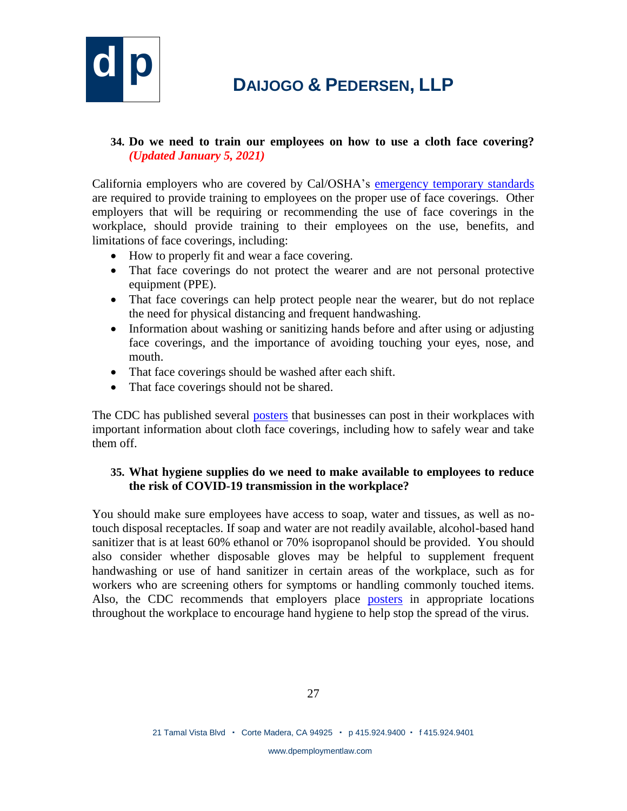

#### **34. Do we need to train our employees on how to use a cloth face covering?** *(Updated January 5, 2021)*

California employers who are covered by Cal/OSHA's [emergency temporary standards](https://www.dir.ca.gov/dosh/coronavirus/ETS.html) are required to provide training to employees on the proper use of face coverings. Other employers that will be requiring or recommending the use of face coverings in the workplace, should provide training to their employees on the use, benefits, and limitations of face coverings, including:

- How to properly fit and wear a face covering.
- That face coverings do not protect the wearer and are not personal protective equipment (PPE).
- That face coverings can help protect people near the wearer, but do not replace the need for physical distancing and frequent handwashing.
- Information about washing or sanitizing hands before and after using or adjusting face coverings, and the importance of avoiding touching your eyes, nose, and mouth.
- That face coverings should be washed after each shift.
- That face coverings should not be shared.

The CDC has published several [posters](https://www.cdc.gov/coronavirus/2019-ncov/communication/print-resources.html?Sort=Date%3A%3Adesc) that businesses can post in their workplaces with important information about cloth face coverings, including how to safely wear and take them off.

#### **35. What hygiene supplies do we need to make available to employees to reduce the risk of COVID-19 transmission in the workplace?**

You should make sure employees have access to soap, water and tissues, as well as notouch disposal receptacles. If soap and water are not readily available, alcohol-based hand sanitizer that is at least 60% ethanol or 70% isopropanol should be provided. You should also consider whether disposable gloves may be helpful to supplement frequent handwashing or use of hand sanitizer in certain areas of the workplace, such as for workers who are screening others for symptoms or handling commonly touched items. Also, the CDC recommends that employers place [posters](https://www.cdc.gov/handwashing/posters.html) in appropriate locations throughout the workplace to encourage hand hygiene to help stop the spread of the virus.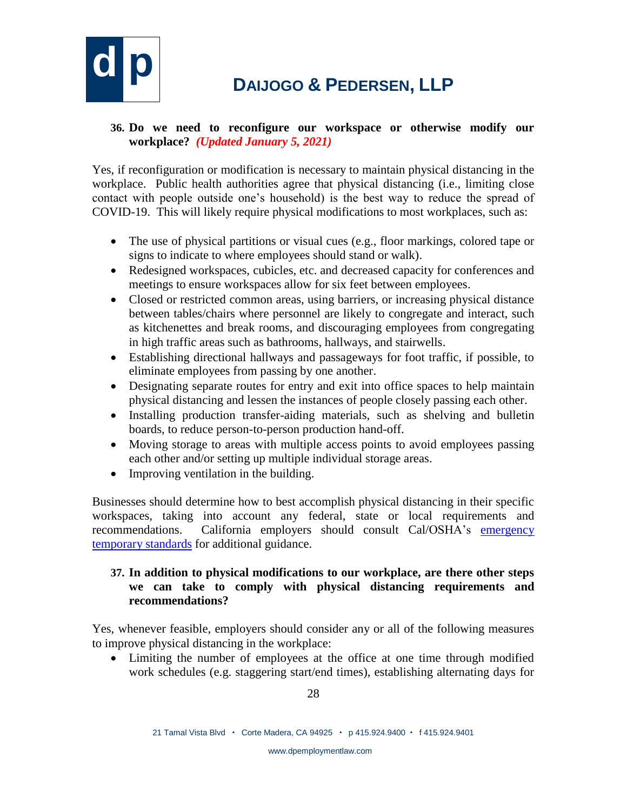

### **36. Do we need to reconfigure our workspace or otherwise modify our workplace?** *(Updated January 5, 2021)*

Yes, if reconfiguration or modification is necessary to maintain physical distancing in the workplace. Public health authorities agree that physical distancing (i.e., limiting close contact with people outside one's household) is the best way to reduce the spread of COVID-19. This will likely require physical modifications to most workplaces, such as:

- The use of physical partitions or visual cues (e.g., floor markings, colored tape or signs to indicate to where employees should stand or walk).
- Redesigned workspaces, cubicles, etc. and decreased capacity for conferences and meetings to ensure workspaces allow for six feet between employees.
- Closed or restricted common areas, using barriers, or increasing physical distance between tables/chairs where personnel are likely to congregate and interact, such as kitchenettes and break rooms, and discouraging employees from congregating in high traffic areas such as bathrooms, hallways, and stairwells.
- Establishing directional hallways and passageways for foot traffic, if possible, to eliminate employees from passing by one another.
- Designating separate routes for entry and exit into office spaces to help maintain physical distancing and lessen the instances of people closely passing each other.
- Installing production transfer-aiding materials, such as shelving and bulletin boards, to reduce person-to-person production hand-off.
- Moving storage to areas with multiple access points to avoid employees passing each other and/or setting up multiple individual storage areas.
- Improving ventilation in the building.

Businesses should determine how to best accomplish physical distancing in their specific workspaces, taking into account any federal, state or local requirements and recommendations. California employers should consult Cal/OSHA's [emergency](https://www.dir.ca.gov/dosh/coronavirus/ETS.html)  [temporary standards](https://www.dir.ca.gov/dosh/coronavirus/ETS.html) for additional guidance.

#### **37. In addition to physical modifications to our workplace, are there other steps we can take to comply with physical distancing requirements and recommendations?**

Yes, whenever feasible, employers should consider any or all of the following measures to improve physical distancing in the workplace:

 Limiting the number of employees at the office at one time through modified work schedules (e.g. staggering start/end times), establishing alternating days for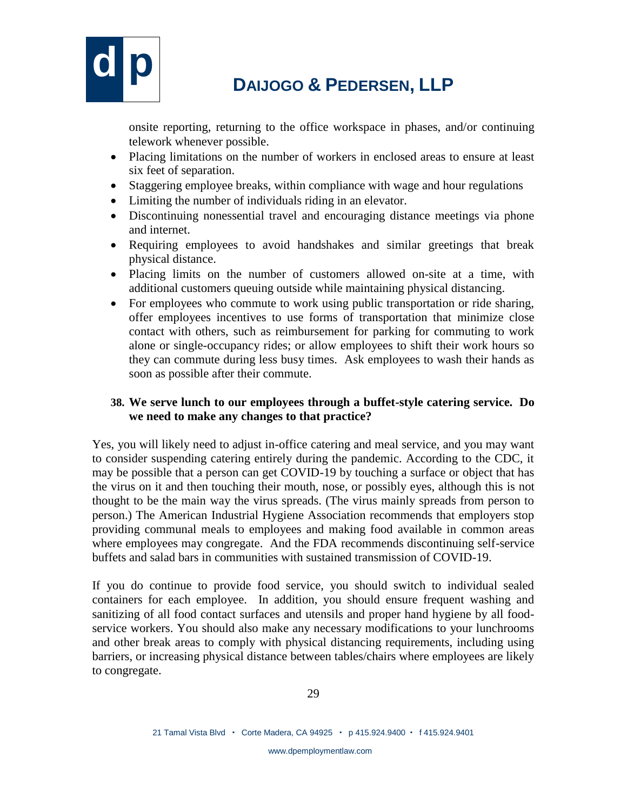

onsite reporting, returning to the office workspace in phases, and/or continuing telework whenever possible.

- Placing limitations on the number of workers in enclosed areas to ensure at least six feet of separation.
- Staggering employee breaks, within compliance with wage and hour regulations
- Limiting the number of individuals riding in an elevator.
- Discontinuing nonessential travel and encouraging distance meetings via phone and internet.
- Requiring employees to avoid handshakes and similar greetings that break physical distance.
- Placing limits on the number of customers allowed on-site at a time, with additional customers queuing outside while maintaining physical distancing.
- For employees who commute to work using public transportation or ride sharing, offer employees incentives to use forms of transportation that minimize close contact with others, such as reimbursement for parking for commuting to work alone or single-occupancy rides; or allow employees to shift their work hours so they can commute during less busy times. Ask employees to wash their hands as soon as possible after their commute.

#### **38. We serve lunch to our employees through a buffet-style catering service. Do we need to make any changes to that practice?**

Yes, you will likely need to adjust in-office catering and meal service, and you may want to consider suspending catering entirely during the pandemic. According to the CDC, it may be possible that a person can get COVID-19 by touching a surface or object that has the virus on it and then touching their mouth, nose, or possibly eyes, although this is not thought to be the main way the virus spreads. (The virus mainly spreads from person to person.) The American Industrial Hygiene Association recommends that employers stop providing communal meals to employees and making food available in common areas where employees may congregate. And the FDA recommends discontinuing self-service buffets and salad bars in communities with sustained transmission of COVID-19.

If you do continue to provide food service, you should switch to individual sealed containers for each employee. In addition, you should ensure frequent washing and sanitizing of all food contact surfaces and utensils and proper hand hygiene by all foodservice workers. You should also make any necessary modifications to your lunchrooms and other break areas to comply with physical distancing requirements, including using barriers, or increasing physical distance between tables/chairs where employees are likely to congregate.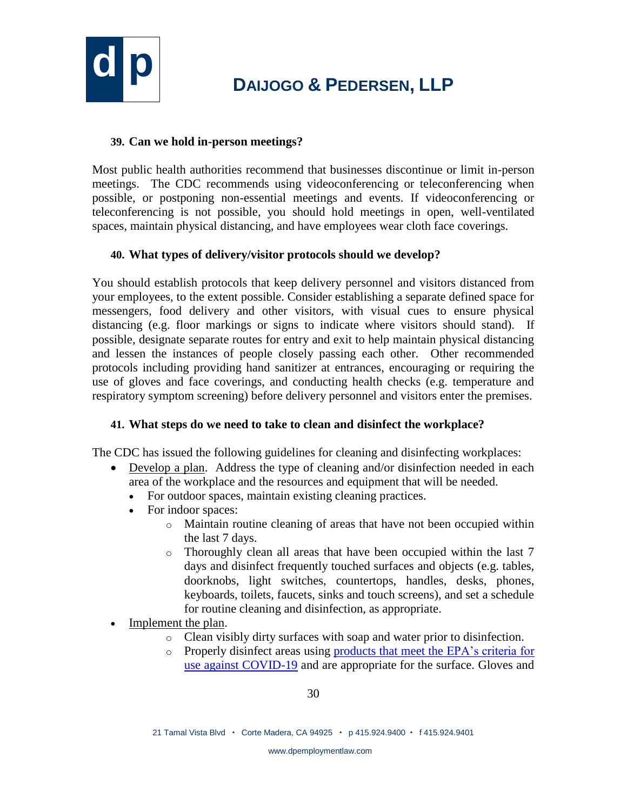

#### **39. Can we hold in-person meetings?**

Most public health authorities recommend that businesses discontinue or limit in-person meetings. The CDC recommends using videoconferencing or teleconferencing when possible, or postponing non-essential meetings and events. If videoconferencing or teleconferencing is not possible, you should hold meetings in open, well-ventilated spaces, maintain physical distancing, and have employees wear cloth face coverings.

### **40. What types of delivery/visitor protocols should we develop?**

You should establish protocols that keep delivery personnel and visitors distanced from your employees, to the extent possible. Consider establishing a separate defined space for messengers, food delivery and other visitors, with visual cues to ensure physical distancing (e.g. floor markings or signs to indicate where visitors should stand). If possible, designate separate routes for entry and exit to help maintain physical distancing and lessen the instances of people closely passing each other. Other recommended protocols including providing hand sanitizer at entrances, encouraging or requiring the use of gloves and face coverings, and conducting health checks (e.g. temperature and respiratory symptom screening) before delivery personnel and visitors enter the premises.

### **41. What steps do we need to take to clean and disinfect the workplace?**

The CDC has issued the following guidelines for cleaning and disinfecting workplaces:

- Develop a plan. Address the type of cleaning and/or disinfection needed in each area of the workplace and the resources and equipment that will be needed.
	- For outdoor spaces, maintain existing cleaning practices.
	- For indoor spaces:
		- o Maintain routine cleaning of areas that have not been occupied within the last 7 days.
		- o Thoroughly clean all areas that have been occupied within the last 7 days and disinfect frequently touched surfaces and objects (e.g. tables, doorknobs, light switches, countertops, handles, desks, phones, keyboards, toilets, faucets, sinks and touch screens), and set a schedule for routine cleaning and disinfection, as appropriate.
- Implement the plan.
	- o Clean visibly dirty surfaces with soap and water prior to disinfection.
	- o Properly disinfect areas using [products that meet the EPA's criteria for](https://www.epa.gov/pesticide-registration/list-n-disinfectants-use-against-sars-cov-2)  [use against COVID-19](https://www.epa.gov/pesticide-registration/list-n-disinfectants-use-against-sars-cov-2) and are appropriate for the surface. Gloves and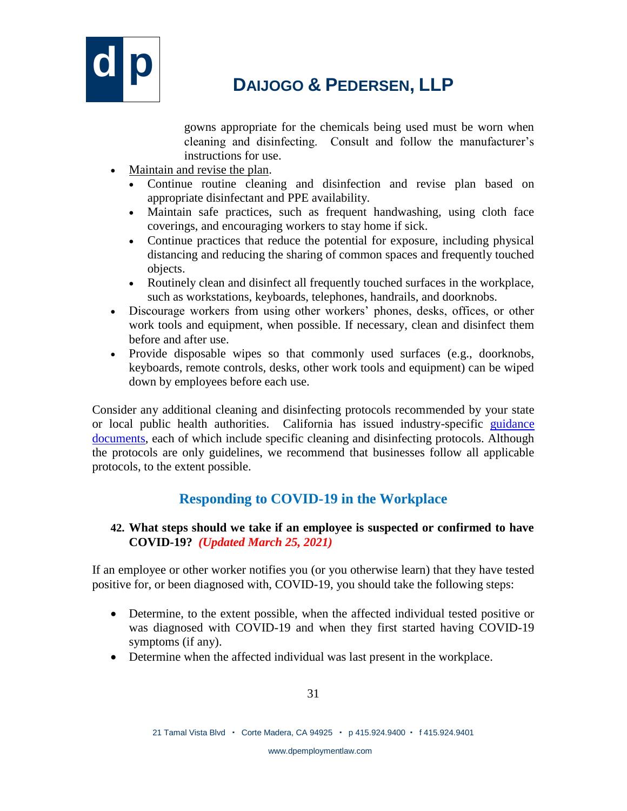

gowns appropriate for the chemicals being used must be worn when cleaning and disinfecting. Consult and follow the manufacturer's instructions for use.

- Maintain and revise the plan.
	- Continue routine cleaning and disinfection and revise plan based on appropriate disinfectant and PPE availability.
	- Maintain safe practices, such as frequent handwashing, using cloth face coverings, and encouraging workers to stay home if sick.
	- Continue practices that reduce the potential for exposure, including physical distancing and reducing the sharing of common spaces and frequently touched objects.
	- Routinely clean and disinfect all frequently touched surfaces in the workplace, such as workstations, keyboards, telephones, handrails, and doorknobs.
- Discourage workers from using other workers' phones, desks, offices, or other work tools and equipment, when possible. If necessary, clean and disinfect them before and after use.
- Provide disposable wipes so that commonly used surfaces (e.g., doorknobs, keyboards, remote controls, desks, other work tools and equipment) can be wiped down by employees before each use.

Consider any additional cleaning and disinfecting protocols recommended by your state or local public health authorities. California has issued industry-specific [guidance](https://covid19.ca.gov/industry-guidance/)  [documents,](https://covid19.ca.gov/industry-guidance/) each of which include specific cleaning and disinfecting protocols. Although the protocols are only guidelines, we recommend that businesses follow all applicable protocols, to the extent possible.

### **Responding to COVID-19 in the Workplace**

#### **42. What steps should we take if an employee is suspected or confirmed to have COVID-19?** *(Updated March 25, 2021)*

If an employee or other worker notifies you (or you otherwise learn) that they have tested positive for, or been diagnosed with, COVID-19, you should take the following steps:

- Determine, to the extent possible, when the affected individual tested positive or was diagnosed with COVID-19 and when they first started having COVID-19 symptoms (if any).
- Determine when the affected individual was last present in the workplace.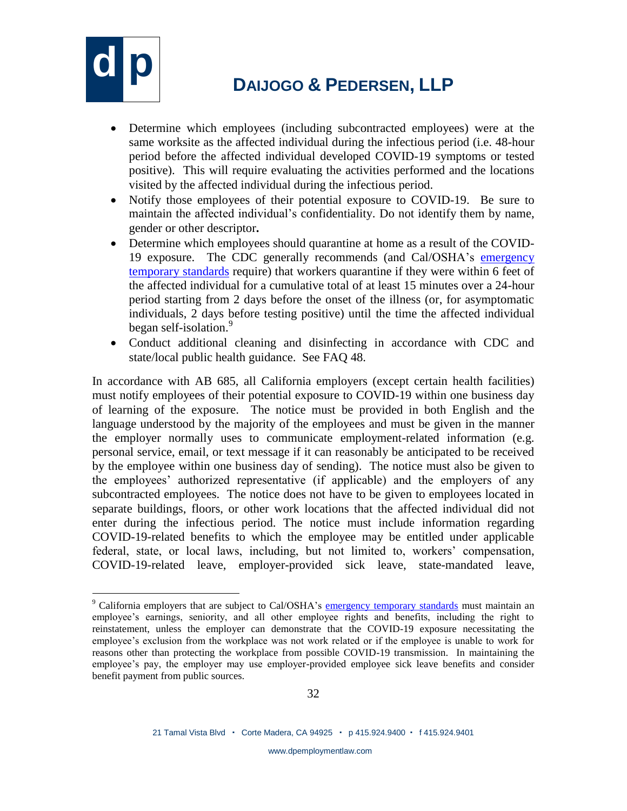

 $\overline{a}$ 

# **d p <sup>D</sup>AIJOGO & <sup>P</sup>EDERSEN, LLP**

- Determine which employees (including subcontracted employees) were at the same worksite as the affected individual during the infectious period (i.e. 48-hour period before the affected individual developed COVID-19 symptoms or tested positive). This will require evaluating the activities performed and the locations visited by the affected individual during the infectious period.
- Notify those employees of their potential exposure to COVID-19. Be sure to maintain the affected individual's confidentiality. Do not identify them by name, gender or other descriptor**.**
- Determine which employees should quarantine at home as a result of the COVID-19 exposure. The CDC generally recommends (and Cal/OSHA's [emergency](https://www.dir.ca.gov/dosh/coronavirus/ETS.html)  [temporary standards](https://www.dir.ca.gov/dosh/coronavirus/ETS.html) require) that workers quarantine if they were within 6 feet of the affected individual for a cumulative total of at least 15 minutes over a 24-hour period starting from 2 days before the onset of the illness (or, for asymptomatic individuals, 2 days before testing positive) until the time the affected individual began self-isolation.<sup>9</sup>
- Conduct additional cleaning and disinfecting in accordance with CDC and state/local public health guidance. See FAQ 48.

In accordance with AB 685, all California employers (except certain health facilities) must notify employees of their potential exposure to COVID-19 within one business day of learning of the exposure. The notice must be provided in both English and the language understood by the majority of the employees and must be given in the manner the employer normally uses to communicate employment-related information (e.g. personal service, email, or text message if it can reasonably be anticipated to be received by the employee within one business day of sending). The notice must also be given to the employees' authorized representative (if applicable) and the employers of any subcontracted employees. The notice does not have to be given to employees located in separate buildings, floors, or other work locations that the affected individual did not enter during the infectious period. The notice must include information regarding COVID-19-related benefits to which the employee may be entitled under applicable federal, state, or local laws, including, but not limited to, workers' compensation, COVID-19-related leave, employer-provided sick leave, state-mandated leave,

<sup>&</sup>lt;sup>9</sup> California employers that are subject to Cal/OSHA's [emergency temporary standards](https://www.dir.ca.gov/dosh/coronavirus/ETS.html) must maintain an employee's earnings, seniority, and all other employee rights and benefits, including the right to reinstatement, unless the employer can demonstrate that the COVID-19 exposure necessitating the employee's exclusion from the workplace was not work related or if the employee is unable to work for reasons other than protecting the workplace from possible COVID-19 transmission. In maintaining the employee's pay, the employer may use employer-provided employee sick leave benefits and consider benefit payment from public sources.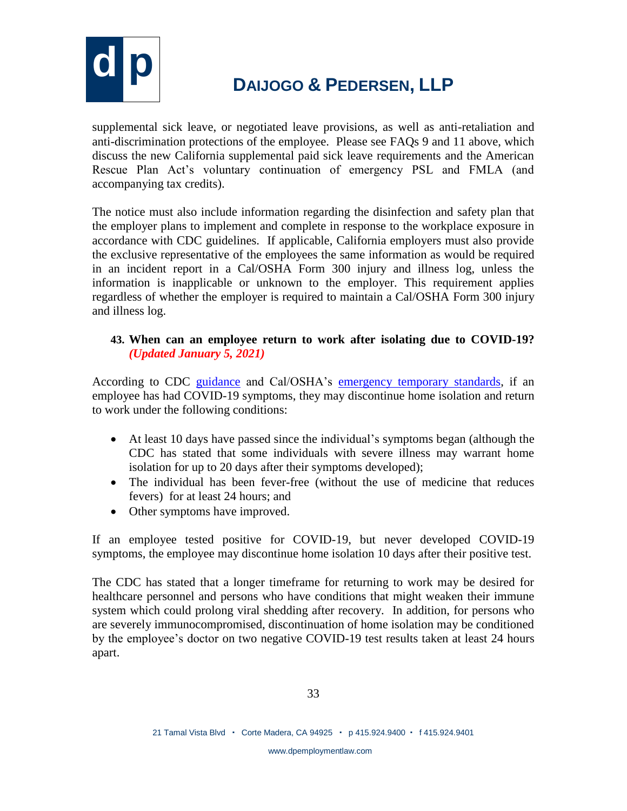

supplemental sick leave, or negotiated leave provisions, as well as anti-retaliation and anti-discrimination protections of the employee. Please see FAQs 9 and 11 above, which discuss the new California supplemental paid sick leave requirements and the American Rescue Plan Act's voluntary continuation of emergency PSL and FMLA (and accompanying tax credits).

The notice must also include information regarding the disinfection and safety plan that the employer plans to implement and complete in response to the workplace exposure in accordance with CDC guidelines. If applicable, California employers must also provide the exclusive representative of the employees the same information as would be required in an incident report in a Cal/OSHA Form 300 injury and illness log, unless the information is inapplicable or unknown to the employer. This requirement applies regardless of whether the employer is required to maintain a Cal/OSHA Form 300 injury and illness log.

### **43. When can an employee return to work after isolating due to COVID-19?** *(Updated January 5, 2021)*

According to CDC [guidance](https://www.cdc.gov/coronavirus/2019-ncov/hcp/disposition-in-home-patients.html) and Cal/OSHA's [emergency temporary standards,](https://www.dir.ca.gov/dosh/coronavirus/ETS.html) if an employee has had COVID-19 symptoms, they may discontinue home isolation and return to work under the following conditions:

- At least 10 days have passed since the individual's symptoms began (although the CDC has stated that some individuals with severe illness may warrant home isolation for up to 20 days after their symptoms developed);
- The individual has been fever-free (without the use of medicine that reduces fevers) for at least 24 hours; and
- Other symptoms have improved.

If an employee tested positive for COVID-19, but never developed COVID-19 symptoms, the employee may discontinue home isolation 10 days after their positive test.

The CDC has stated that a longer timeframe for returning to work may be desired for healthcare personnel and persons who have conditions that might weaken their immune system which could prolong viral shedding after recovery. In addition, for persons who are severely immunocompromised, discontinuation of home isolation may be conditioned by the employee's doctor on two negative COVID-19 test results taken at least 24 hours apart.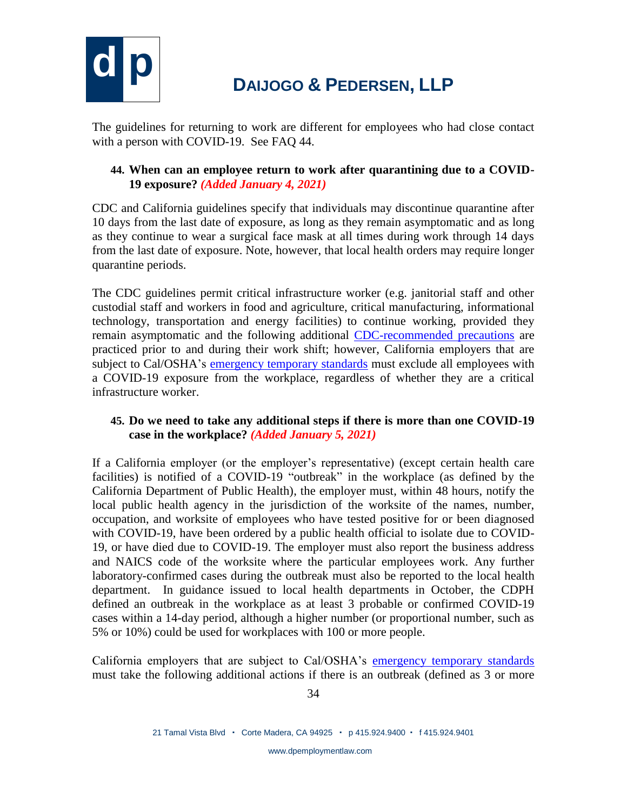

The guidelines for returning to work are different for employees who had close contact with a person with COVID-19. See FAQ 44.

### **44. When can an employee return to work after quarantining due to a COVID-19 exposure?** *(Added January 4, 2021)*

CDC and California guidelines specify that individuals may discontinue quarantine after 10 days from the last date of exposure, as long as they remain asymptomatic and as long as they continue to wear a surgical face mask at all times during work through 14 days from the last date of exposure. Note, however, that local health orders may require longer quarantine periods.

The CDC guidelines permit critical infrastructure worker (e.g. janitorial staff and other custodial staff and workers in food and agriculture, critical manufacturing, informational technology, transportation and energy facilities) to continue working, provided they remain asymptomatic and the following additional [CDC-recommended precautions](https://www.cdc.gov/coronavirus/2019-ncov/community/critical-workers/implementing-safety-practices.html) are practiced prior to and during their work shift; however, California employers that are subject to Cal/OSHA's [emergency temporary standards](https://www.dir.ca.gov/dosh/coronavirus/ETS.html) must exclude all employees with a COVID-19 exposure from the workplace, regardless of whether they are a critical infrastructure worker.

#### **45. Do we need to take any additional steps if there is more than one COVID-19 case in the workplace?** *(Added January 5, 2021)*

If a California employer (or the employer's representative) (except certain health care facilities) is notified of a COVID-19 "outbreak" in the workplace (as defined by the California Department of Public Health), the employer must, within 48 hours, notify the local public health agency in the jurisdiction of the worksite of the names, number, occupation, and worksite of employees who have tested positive for or been diagnosed with COVID-19, have been ordered by a public health official to isolate due to COVID-19, or have died due to COVID-19. The employer must also report the business address and NAICS code of the worksite where the particular employees work. Any further laboratory-confirmed cases during the outbreak must also be reported to the local health department. In guidance issued to local health departments in October, the CDPH defined an outbreak in the workplace as at least 3 probable or confirmed COVID-19 cases within a 14-day period, although a higher number (or proportional number, such as 5% or 10%) could be used for workplaces with 100 or more people.

California employers that are subject to Cal/OSHA's [emergency temporary standards](https://www.dir.ca.gov/dosh/coronavirus/ETS.html) must take the following additional actions if there is an outbreak (defined as 3 or more

www.dpemploymentlaw.com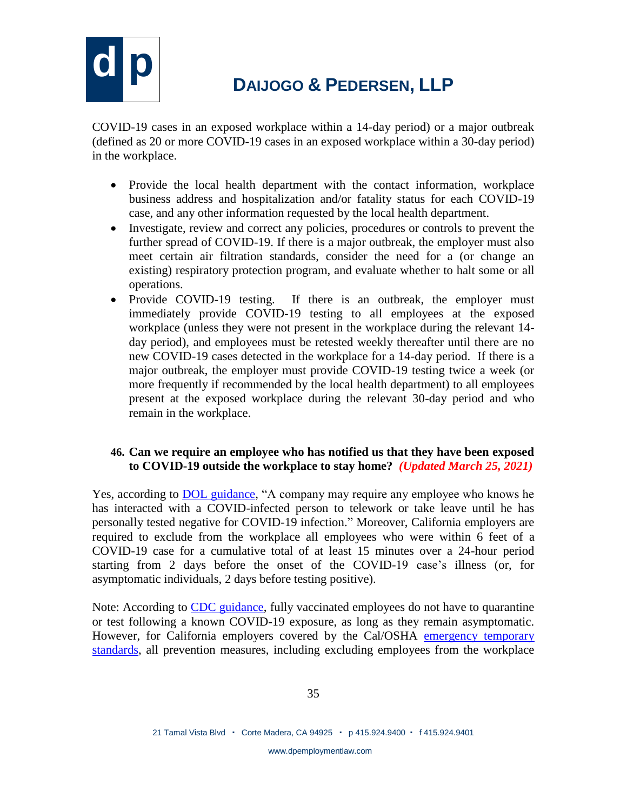

COVID-19 cases in an exposed workplace within a 14-day period) or a major outbreak (defined as 20 or more COVID-19 cases in an exposed workplace within a 30-day period) in the workplace.

- Provide the local health department with the contact information, workplace business address and hospitalization and/or fatality status for each COVID-19 case, and any other information requested by the local health department.
- Investigate, review and correct any policies, procedures or controls to prevent the further spread of COVID-19. If there is a major outbreak, the employer must also meet certain air filtration standards, consider the need for a (or change an existing) respiratory protection program, and evaluate whether to halt some or all operations.
- Provide COVID-19 testing. If there is an outbreak, the employer must immediately provide COVID-19 testing to all employees at the exposed workplace (unless they were not present in the workplace during the relevant 14 day period), and employees must be retested weekly thereafter until there are no new COVID-19 cases detected in the workplace for a 14-day period. If there is a major outbreak, the employer must provide COVID-19 testing twice a week (or more frequently if recommended by the local health department) to all employees present at the exposed workplace during the relevant 30-day period and who remain in the workplace.

#### **46. Can we require an employee who has notified us that they have been exposed to COVID-19 outside the workplace to stay home?** *(Updated March 25, 2021)*

Yes, according to [DOL guidance,](https://www.dol.gov/agencies/whd/pandemic/ffcra-questions) "A company may require any employee who knows he has interacted with a COVID-infected person to telework or take leave until he has personally tested negative for COVID-19 infection." Moreover, California employers are required to exclude from the workplace all employees who were within 6 feet of a COVID-19 case for a cumulative total of at least 15 minutes over a 24-hour period starting from 2 days before the onset of the COVID-19 case's illness (or, for asymptomatic individuals, 2 days before testing positive).

Note: According to [CDC guidance,](https://www.cdc.gov/coronavirus/2019-ncov/vaccines/fully-vaccinated-guidance.html#:~:text=Fully%20vaccinated%20people%20can%3A,wearing%20masks%20or%20physical%20distancing) fully vaccinated employees do not have to quarantine or test following a known COVID-19 exposure, as long as they remain asymptomatic. However, for California employers covered by the Cal/OSHA emergency temporary [standards,](https://www.dir.ca.gov/dosh/coronavirus/ETS.html) all prevention measures, including excluding employees from the workplace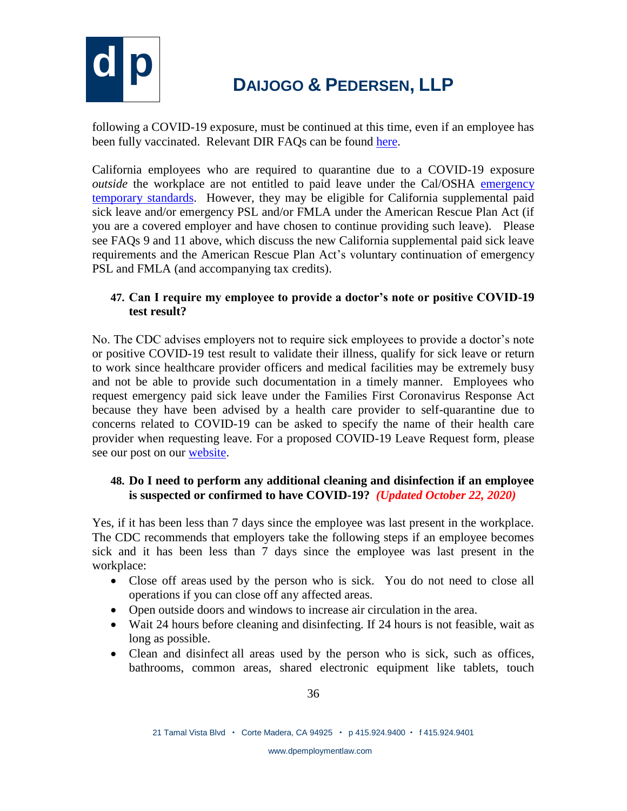

following a COVID-19 exposure, must be continued at this time, even if an employee has been fully vaccinated. Relevant DIR FAOs can be found [here.](https://www.dir.ca.gov/dosh/coronavirus/COVID19FAQs.html#vaccines)

California employees who are required to quarantine due to a COVID-19 exposure *outside* the workplace are not entitled to paid leave under the Cal/OSHA emergency [temporary standards.](https://www.dir.ca.gov/title8/3205.html) However, they may be eligible for California supplemental paid sick leave and/or emergency PSL and/or FMLA under the American Rescue Plan Act (if you are a covered employer and have chosen to continue providing such leave). Please see FAQs 9 and 11 above, which discuss the new California supplemental paid sick leave requirements and the American Rescue Plan Act's voluntary continuation of emergency PSL and FMLA (and accompanying tax credits).

### **47. Can I require my employee to provide a doctor's note or positive COVID-19 test result?**

No. The CDC advises employers not to require sick employees to provide a doctor's note or positive COVID-19 test result to validate their illness, qualify for sick leave or return to work since healthcare provider officers and medical facilities may be extremely busy and not be able to provide such documentation in a timely manner. Employees who request emergency paid sick leave under the Families First Coronavirus Response Act because they have been advised by a health care provider to self-quarantine due to concerns related to COVID-19 can be asked to specify the name of their health care provider when requesting leave. For a proposed COVID-19 Leave Request form, please see our post on our [website.](http://dpemploymentlaw.com/legal-updates/)

### **48. Do I need to perform any additional cleaning and disinfection if an employee is suspected or confirmed to have COVID-19?** *(Updated October 22, 2020)*

Yes, if it has been less than 7 days since the employee was last present in the workplace. The CDC recommends that employers take the following steps if an employee becomes sick and it has been less than 7 days since the employee was last present in the workplace:

- Close off areas used by the person who is sick. You do not need to close all operations if you can close off any affected areas.
- Open outside doors and windows to increase air circulation in the area.
- Wait 24 hours before cleaning and disinfecting. If 24 hours is not feasible, wait as long as possible.
- Clean and disinfect all areas used by the person who is sick, such as offices, bathrooms, common areas, shared electronic equipment like tablets, touch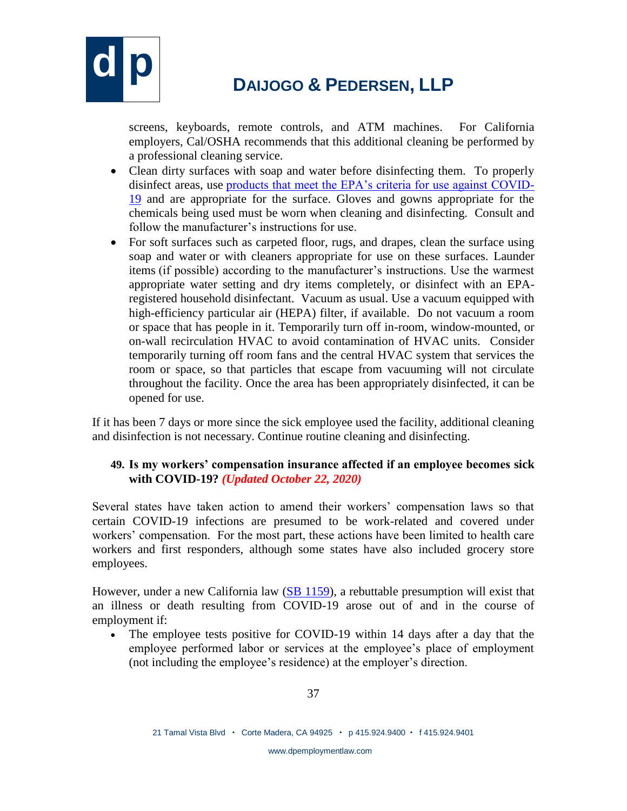

screens, keyboards, remote controls, and ATM machines. For California employers, Cal/OSHA recommends that this additional cleaning be performed by a professional cleaning service.

- Clean dirty surfaces with soap and water before disinfecting them. To properly disinfect areas, use [products that meet the EPA's criteria for use against COVID-](https://www.epa.gov/pesticide-registration/list-n-disinfectants-use-against-sars-cov-2)[19](https://www.epa.gov/pesticide-registration/list-n-disinfectants-use-against-sars-cov-2) and are appropriate for the surface. Gloves and gowns appropriate for the chemicals being used must be worn when cleaning and disinfecting. Consult and follow the manufacturer's instructions for use.
- For soft surfaces such as carpeted floor, rugs, and drapes, clean the surface using soap and water or with cleaners appropriate for use on these surfaces. Launder items (if possible) according to the manufacturer's instructions. Use the warmest appropriate water setting and dry items completely, or disinfect with an EPAregistered household disinfectant. Vacuum as usual. Use a vacuum equipped with high-efficiency particular air (HEPA) filter, if available. Do not vacuum a room or space that has people in it. Temporarily turn off in-room, window-mounted, or on-wall recirculation HVAC to avoid contamination of HVAC units. Consider temporarily turning off room fans and the central HVAC system that services the room or space, so that particles that escape from vacuuming will not circulate throughout the facility. Once the area has been appropriately disinfected, it can be opened for use.

If it has been 7 days or more since the sick employee used the facility, additional cleaning and disinfection is not necessary. Continue routine cleaning and disinfecting.

### **49. Is my workers' compensation insurance affected if an employee becomes sick with COVID-19?** *(Updated October 22, 2020)*

Several states have taken action to amend their workers' compensation laws so that certain COVID-19 infections are presumed to be work-related and covered under workers' compensation. For the most part, these actions have been limited to health care workers and first responders, although some states have also included grocery store employees.

However, under a new California law [\(SB 1159\)](https://www.dol.gov/agencies/whd/pandemic/ffcra-questions), a rebuttable presumption will exist that an illness or death resulting from COVID-19 arose out of and in the course of employment if:

• The employee tests positive for COVID-19 within 14 days after a day that the employee performed labor or services at the employee's place of employment (not including the employee's residence) at the employer's direction.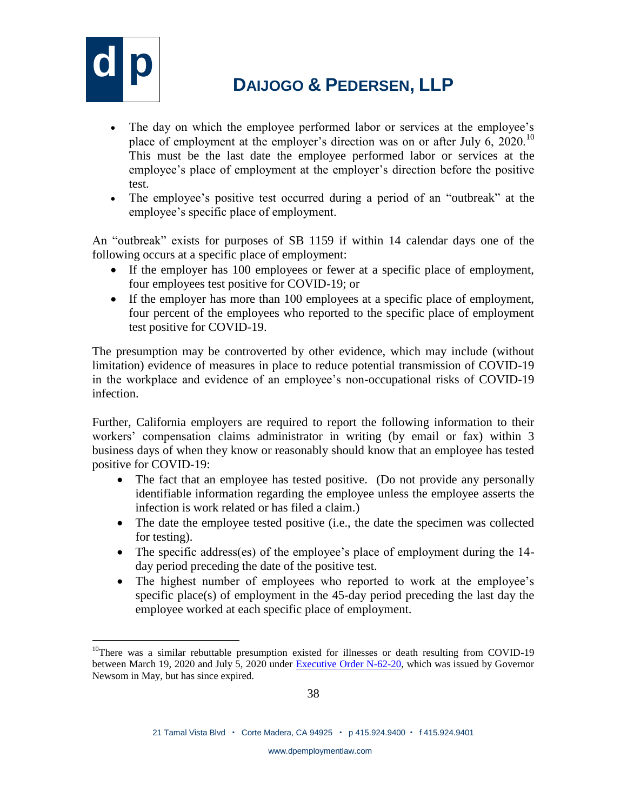

- The day on which the employee performed labor or services at the employee's place of employment at the employer's direction was on or after July 6, 2020.<sup>10</sup> This must be the last date the employee performed labor or services at the employee's place of employment at the employer's direction before the positive test.
- The employee's positive test occurred during a period of an "outbreak" at the employee's specific place of employment.

An "outbreak" exists for purposes of SB 1159 if within 14 calendar days one of the following occurs at a specific place of employment:

- If the employer has 100 employees or fewer at a specific place of employment, four employees test positive for COVID-19; or
- If the employer has more than 100 employees at a specific place of employment, four percent of the employees who reported to the specific place of employment test positive for COVID-19.

The presumption may be controverted by other evidence, which may include (without limitation) evidence of measures in place to reduce potential transmission of COVID-19 in the workplace and evidence of an employee's non-occupational risks of COVID-19 infection.

Further, California employers are required to report the following information to their workers' compensation claims administrator in writing (by email or fax) within 3 business days of when they know or reasonably should know that an employee has tested positive for COVID-19:

- The fact that an employee has tested positive. (Do not provide any personally identifiable information regarding the employee unless the employee asserts the infection is work related or has filed a claim.)
- The date the employee tested positive (i.e., the date the specimen was collected for testing).
- The specific address(es) of the employee's place of employment during the 14day period preceding the date of the positive test.
- The highest number of employees who reported to work at the employee's specific place(s) of employment in the 45-day period preceding the last day the employee worked at each specific place of employment.

 $\overline{a}$  $10$ There was a similar rebuttable presumption existed for illnesses or death resulting from COVID-19 between March 19, 2020 and July 5, 2020 under [Executive Order N-62-20,](https://www.gov.ca.gov/wp-content/uploads/2020/05/5.6.20-EO-N-62-20-text.pdf) which was issued by Governor Newsom in May, but has since expired.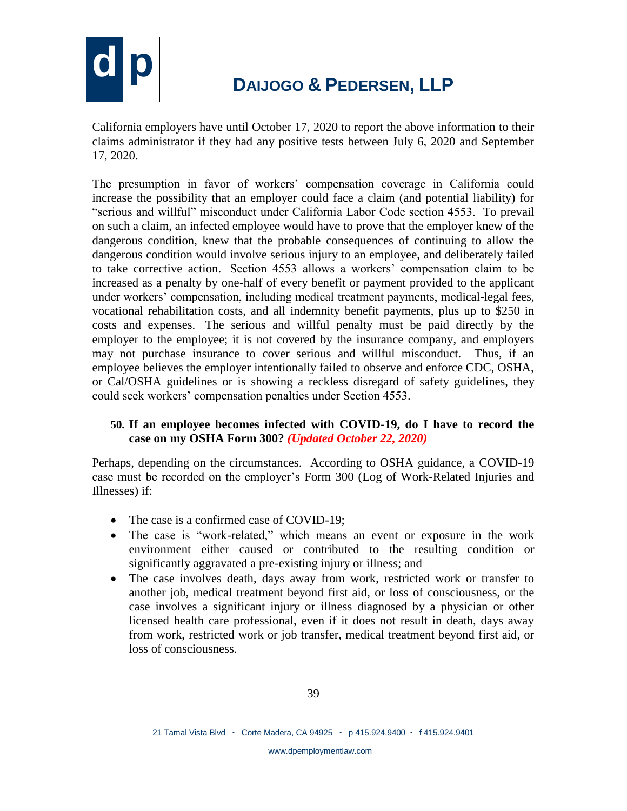

California employers have until October 17, 2020 to report the above information to their claims administrator if they had any positive tests between July 6, 2020 and September 17, 2020.

The presumption in favor of workers' compensation coverage in California could increase the possibility that an employer could face a claim (and potential liability) for "serious and willful" misconduct under California Labor Code section 4553. To prevail on such a claim, an infected employee would have to prove that the employer knew of the dangerous condition, knew that the probable consequences of continuing to allow the dangerous condition would involve serious injury to an employee, and deliberately failed to take corrective action. Section 4553 allows a workers' compensation claim to be increased as a penalty by one-half of every benefit or payment provided to the applicant under workers' compensation, including medical treatment payments, medical-legal fees, vocational rehabilitation costs, and all indemnity benefit payments, plus up to \$250 in costs and expenses. The serious and willful penalty must be paid directly by the employer to the employee; it is not covered by the insurance company, and employers may not purchase insurance to cover serious and willful misconduct. Thus, if an employee believes the employer intentionally failed to observe and enforce CDC, OSHA, or Cal/OSHA guidelines or is showing a reckless disregard of safety guidelines, they could seek workers' compensation penalties under Section 4553.

#### **50. If an employee becomes infected with COVID-19, do I have to record the case on my OSHA Form 300?** *(Updated October 22, 2020)*

Perhaps, depending on the circumstances. According to OSHA guidance, a COVID-19 case must be recorded on the employer's Form 300 (Log of Work-Related Injuries and Illnesses) if:

- The case is a confirmed case of COVID-19:
- The case is "work-related," which means an event or exposure in the work environment either caused or contributed to the resulting condition or significantly aggravated a pre-existing injury or illness; and
- The case involves death, days away from work, restricted work or transfer to another job, medical treatment beyond first aid, or loss of consciousness, or the case involves a significant injury or illness diagnosed by a physician or other licensed health care professional, even if it does not result in death, days away from work, restricted work or job transfer, medical treatment beyond first aid, or loss of consciousness.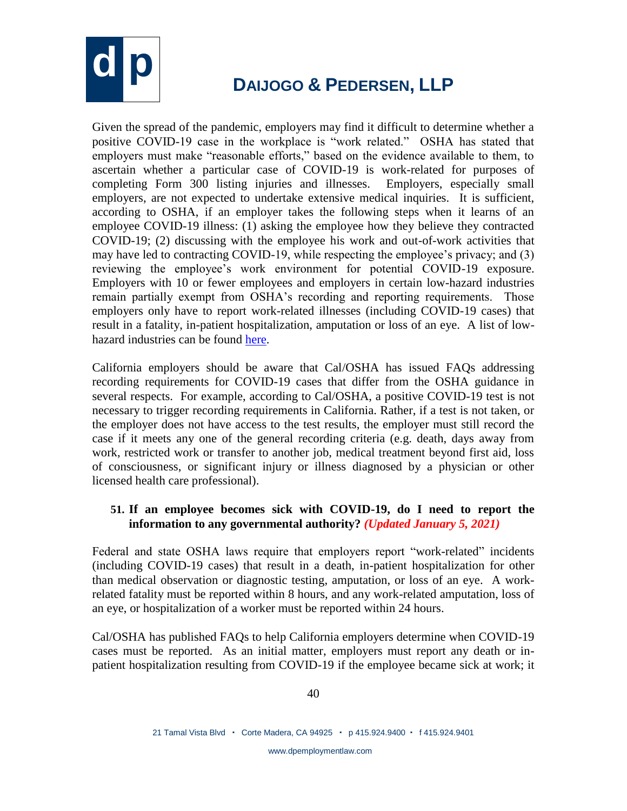

Given the spread of the pandemic, employers may find it difficult to determine whether a positive COVID-19 case in the workplace is "work related." OSHA has stated that employers must make "reasonable efforts," based on the evidence available to them, to ascertain whether a particular case of COVID-19 is work-related for purposes of completing Form 300 listing injuries and illnesses. Employers, especially small employers, are not expected to undertake extensive medical inquiries. It is sufficient, according to OSHA, if an employer takes the following steps when it learns of an employee COVID-19 illness: (1) asking the employee how they believe they contracted COVID-19; (2) discussing with the employee his work and out-of-work activities that may have led to contracting COVID-19, while respecting the employee's privacy; and (3) reviewing the employee's work environment for potential COVID-19 exposure. Employers with 10 or fewer employees and employers in certain low-hazard industries remain partially exempt from OSHA's recording and reporting requirements. Those employers only have to report work-related illnesses (including COVID-19 cases) that result in a fatality, in-patient hospitalization, amputation or loss of an eye. A list of lowhazard industries can be found [here.](https://www.ecfr.gov/cgi-bin/text-idx?SID=4d92f2327287f9e7c3ec2a9f3f58ecd2&mc=true&node=ap29.5.1904_13.a&rgn=div9)

California employers should be aware that Cal/OSHA has issued FAQs addressing recording requirements for COVID-19 cases that differ from the OSHA guidance in several respects. For example, according to Cal/OSHA, a positive COVID-19 test is not necessary to trigger recording requirements in California. Rather, if a test is not taken, or the employer does not have access to the test results, the employer must still record the case if it meets any one of the general recording criteria (e.g. death, days away from work, restricted work or transfer to another job, medical treatment beyond first aid, loss of consciousness, or significant injury or illness diagnosed by a physician or other licensed health care professional).

#### **51. If an employee becomes sick with COVID-19, do I need to report the information to any governmental authority?** *(Updated January 5, 2021)*

Federal and state OSHA laws require that employers report "work-related" incidents (including COVID-19 cases) that result in a death, in-patient hospitalization for other than medical observation or diagnostic testing, amputation, or loss of an eye. A workrelated fatality must be reported within 8 hours, and any work-related amputation, loss of an eye, or hospitalization of a worker must be reported within 24 hours.

Cal/OSHA has published FAQs to help California employers determine when COVID-19 cases must be reported. As an initial matter, employers must report any death or inpatient hospitalization resulting from COVID-19 if the employee became sick at work; it